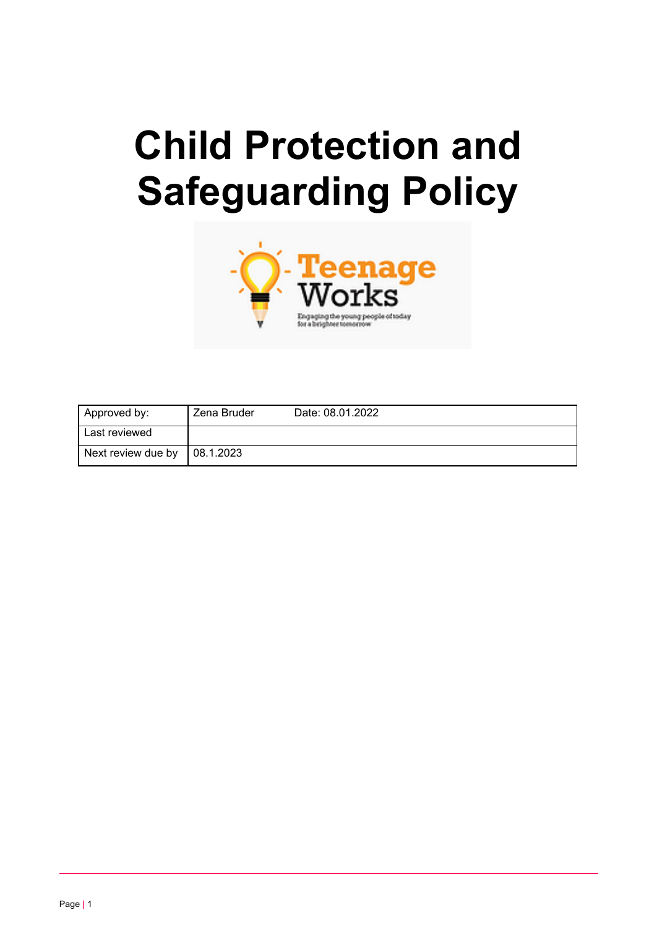# **Child Protection and Safeguarding Policy**



| Approved by:       | Zena Bruder | Date: 08.01.2022 |
|--------------------|-------------|------------------|
| Last reviewed      |             |                  |
| Next review due by | 08.1.2023   |                  |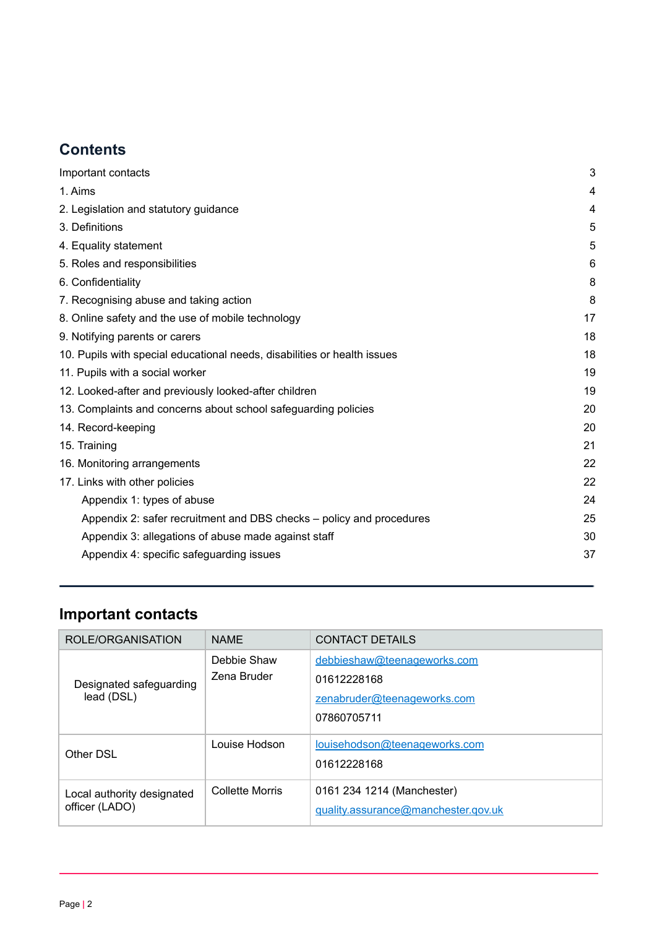# **Contents**

| Important contacts                                                       | 3  |
|--------------------------------------------------------------------------|----|
| 1. Aims                                                                  | 4  |
| 2. Legislation and statutory guidance                                    | 4  |
| 3. Definitions                                                           | 5  |
| 4. Equality statement                                                    | 5  |
| 5. Roles and responsibilities                                            | 6  |
| 6. Confidentiality                                                       | 8  |
| 7. Recognising abuse and taking action                                   | 8  |
| 8. Online safety and the use of mobile technology                        | 17 |
| 9. Notifying parents or carers                                           | 18 |
| 10. Pupils with special educational needs, disabilities or health issues | 18 |
| 11. Pupils with a social worker                                          | 19 |
| 12. Looked-after and previously looked-after children                    | 19 |
| 13. Complaints and concerns about school safeguarding policies           | 20 |
| 14. Record-keeping                                                       | 20 |
| 15. Training                                                             | 21 |
| 16. Monitoring arrangements                                              | 22 |
| 17. Links with other policies                                            | 22 |
| Appendix 1: types of abuse                                               | 24 |
| Appendix 2: safer recruitment and DBS checks – policy and procedures     | 25 |
| Appendix 3: allegations of abuse made against staff                      | 30 |
| Appendix 4: specific safeguarding issues                                 | 37 |
|                                                                          |    |

# <span id="page-1-0"></span>**Important contacts**

| ROLE/ORGANISATION                            | <b>NAME</b>                | CONTACT DETAILS                                                                          |
|----------------------------------------------|----------------------------|------------------------------------------------------------------------------------------|
| Designated safeguarding<br>lead (DSL)        | Debbie Shaw<br>Zena Bruder | debbieshaw@teenageworks.com<br>01612228168<br>zenabruder@teenageworks.com<br>07860705711 |
| Other DSL                                    | Louise Hodson              | louisehodson@teenageworks.com<br>01612228168                                             |
| Local authority designated<br>officer (LADO) | Collette Morris            | 0161 234 1214 (Manchester)<br>guality.assurance@manchester.gov.uk                        |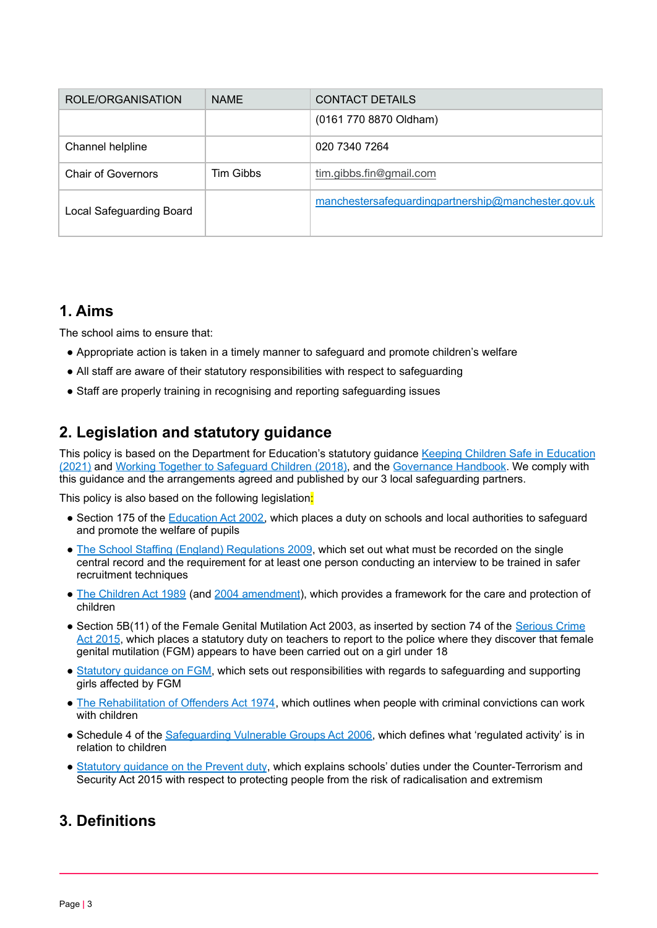| ROLE/ORGANISATION         | <b>NAME</b>      | <b>CONTACT DETAILS</b>                              |
|---------------------------|------------------|-----------------------------------------------------|
|                           |                  | (0161 770 8870 Oldham)                              |
| Channel helpline          |                  | 020 7340 7264                                       |
| <b>Chair of Governors</b> | <b>Tim Gibbs</b> | tim.gibbs.fin@gmail.com                             |
| Local Safeguarding Board  |                  | manchestersafeguardingpartnership@manchester.gov.uk |

# <span id="page-2-0"></span>**1. Aims**

The school aims to ensure that:

- Appropriate action is taken in a timely manner to safeguard and promote children's welfare
- All staff are aware of their statutory responsibilities with respect to safeguarding
- <span id="page-2-1"></span>● Staff are properly training in recognising and reporting safeguarding issues

# **2. Legislation and statutory guidance**

This policy is based on the Department for [Education](https://www.gov.uk/government/publications/keeping-children-safe-in-education--2)'s statutory guidance Keeping Children Safe in Education [\(2021\)](https://www.gov.uk/government/publications/keeping-children-safe-in-education--2) and Working Together to [Safeguard](https://www.gov.uk/government/publications/working-together-to-safeguard-children--2) Children (2018), and the [Governance](https://www.gov.uk/government/publications/governance-handbook) Handbook. We comply with this guidance and the arrangements agreed and published by our 3 local safeguarding partners.

This policy is also based on the following legislation:

- Section 175 of the [Education](http://www.legislation.gov.uk/ukpga/2002/32/section/175) Act 2002, which places a duty on schools and local authorities to safeguard and promote the welfare of pupils
- The School Staffing (England) [Regulations](http://www.legislation.gov.uk/uksi/2009/2680/contents/made) 2009, which set out what must be recorded on the single central record and the requirement for at least one person conducting an interview to be trained in safer recruitment techniques
- The [Children](http://www.legislation.gov.uk/ukpga/1989/41) Act 1989 (and 2004 [amendment](http://www.legislation.gov.uk/ukpga/2004/31/contents)), which provides a framework for the care and protection of children
- Section 5B(11) of the Female Genital Mutilation Act 2003, as inserted by section 74 of the [Serious](http://www.legislation.gov.uk/ukpga/2015/9/part/5/crossheading/female-genital-mutilation) Crime Act [2015](http://www.legislation.gov.uk/ukpga/2015/9/part/5/crossheading/female-genital-mutilation), which places a statutory duty on teachers to report to the police where they discover that female genital mutilation (FGM) appears to have been carried out on a girl under 18
- Statutory [guidance](https://www.gov.uk/government/publications/multi-agency-statutory-guidance-on-female-genital-mutilation) on FGM, which sets out responsibilities with regards to safeguarding and supporting girls affected by FGM
- The [Rehabilitation](http://www.legislation.gov.uk/ukpga/1974/53) of Offenders Act 1974, which outlines when people with criminal convictions can work with children
- Schedule 4 of the [Safeguarding](http://www.legislation.gov.uk/ukpga/2006/47/schedule/4) Vulnerable Groups Act 2006, which defines what 'regulated activity' is in relation to children
- Statutory [guidance](https://www.gov.uk/government/publications/prevent-duty-guidance) on the Prevent duty, which explains schools' duties under the Counter-Terrorism and Security Act 2015 with respect to protecting people from the risk of radicalisation and extremism

# <span id="page-2-2"></span>**3. Definitions**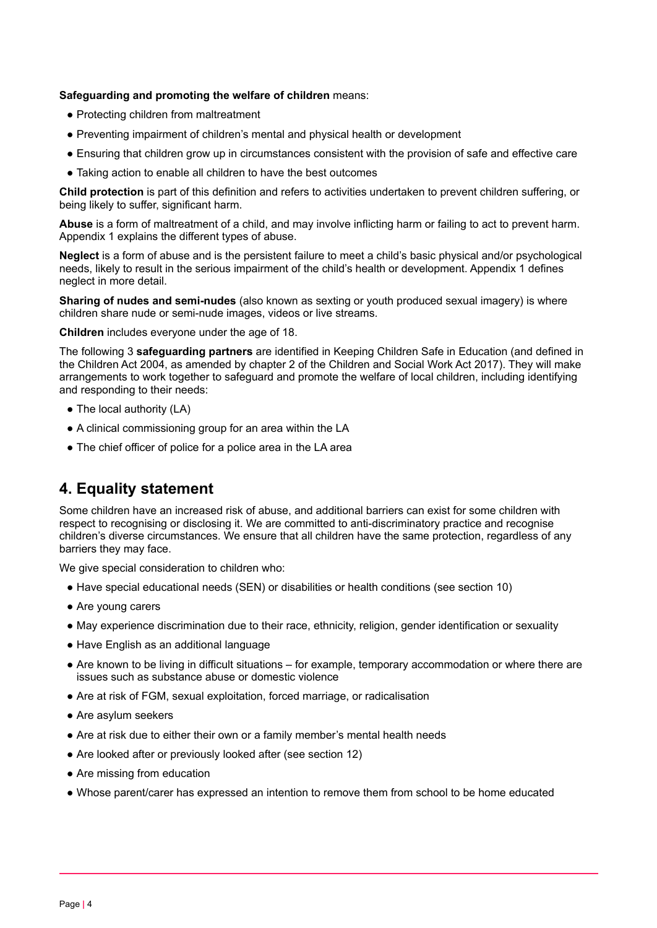#### **Safeguarding and promoting the welfare of children** means:

- Protecting children from maltreatment
- Preventing impairment of children's mental and physical health or development
- Ensuring that children grow up in circumstances consistent with the provision of safe and effective care
- Taking action to enable all children to have the best outcomes

**Child protection** is part of this definition and refers to activities undertaken to prevent children suffering, or being likely to suffer, significant harm.

**Abuse** is a form of maltreatment of a child, and may involve inflicting harm or failing to act to prevent harm. Appendix 1 explains the different types of abuse.

**Neglect** is a form of abuse and is the persistent failure to meet a child's basic physical and/or psychological needs, likely to result in the serious impairment of the child's health or development. Appendix 1 defines neglect in more detail.

**Sharing of nudes and semi-nudes** (also known as sexting or youth produced sexual imagery) is where children share nude or semi-nude images, videos or live streams.

**Children** includes everyone under the age of 18.

The following 3 **safeguarding partners** are identified in Keeping Children Safe in Education (and defined in the Children Act 2004, as amended by chapter 2 of the Children and Social Work Act 2017). They will make arrangements to work together to safeguard and promote the welfare of local children, including identifying and responding to their needs:

- The local authority (LA)
- A clinical commissioning group for an area within the LA
- The chief officer of police for a police area in the LA area

# <span id="page-3-0"></span>**4. Equality statement**

Some children have an increased risk of abuse, and additional barriers can exist for some children with respect to recognising or disclosing it. We are committed to anti-discriminatory practice and recognise children's diverse circumstances. We ensure that all children have the same protection, regardless of any barriers they may face.

We give special consideration to children who:

- Have special educational needs (SEN) or disabilities or health conditions (see section 10)
- Are young carers
- May experience discrimination due to their race, ethnicity, religion, gender identification or sexuality
- Have English as an additional language
- Are known to be living in difficult situations for example, temporary accommodation or where there are issues such as substance abuse or domestic violence
- Are at risk of FGM, sexual exploitation, forced marriage, or radicalisation
- Are asylum seekers
- Are at risk due to either their own or a family member's mental health needs
- Are looked after or previously looked after (see section 12)
- Are missing from education
- <span id="page-3-1"></span>● Whose parent/carer has expressed an intention to remove them from school to be home educated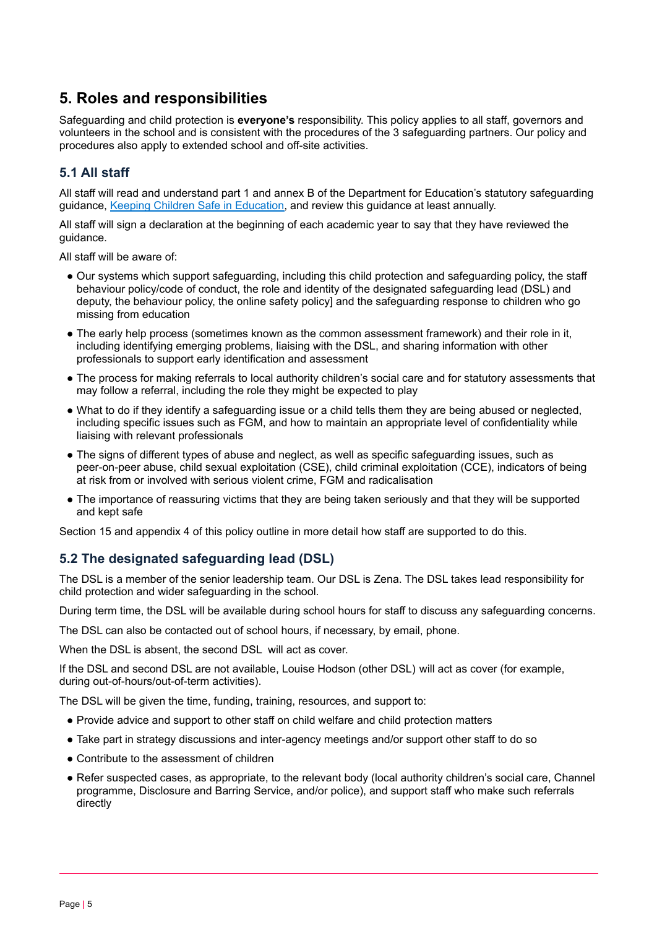# **5. Roles and responsibilities**

Safeguarding and child protection is **everyone's** responsibility. This policy applies to all staff, governors and volunteers in the school and is consistent with the procedures of the 3 safeguarding partners. Our policy and procedures also apply to extended school and off-site activities.

# **5.1 All staff**

All staff will read and understand part 1 and annex B of the Department for Education's statutory safeguarding guidance, Keeping Children Safe in [Education,](https://www.gov.uk/government/publications/keeping-children-safe-in-education--2) and review this guidance at least annually.

All staff will sign a declaration at the beginning of each academic year to say that they have reviewed the guidance.

All staff will be aware of:

- Our systems which support safeguarding, including this child protection and safeguarding policy, the staff behaviour policy/code of conduct, the role and identity of the designated safeguarding lead (DSL) and deputy, the behaviour policy, the online safety policy] and the safeguarding response to children who go missing from education
- The early help process (sometimes known as the common assessment framework) and their role in it, including identifying emerging problems, liaising with the DSL, and sharing information with other professionals to support early identification and assessment
- The process for making referrals to local authority children's social care and for statutory assessments that may follow a referral, including the role they might be expected to play
- What to do if they identify a safeguarding issue or a child tells them they are being abused or neglected, including specific issues such as FGM, and how to maintain an appropriate level of confidentiality while liaising with relevant professionals
- The signs of different types of abuse and neglect, as well as specific safeguarding issues, such as peer-on-peer abuse, child sexual exploitation (CSE), child criminal exploitation (CCE), indicators of being at risk from or involved with serious violent crime, FGM and radicalisation
- The importance of reassuring victims that they are being taken seriously and that they will be supported and kept safe

Section 15 and appendix 4 of this policy outline in more detail how staff are supported to do this.

# **5.2 The designated safeguarding lead (DSL)**

The DSL is a member of the senior leadership team. Our DSL is Zena. The DSL takes lead responsibility for child protection and wider safeguarding in the school.

During term time, the DSL will be available during school hours for staff to discuss any safeguarding concerns.

The DSL can also be contacted out of school hours, if necessary, by email, phone.

When the DSL is absent, the second DSL will act as cover.

If the DSL and second DSL are not available, Louise Hodson (other DSL) will act as cover (for example, during out-of-hours/out-of-term activities).

The DSL will be given the time, funding, training, resources, and support to:

- Provide advice and support to other staff on child welfare and child protection matters
- Take part in strategy discussions and inter-agency meetings and/or support other staff to do so
- Contribute to the assessment of children
- Refer suspected cases, as appropriate, to the relevant body (local authority children's social care, Channel programme, Disclosure and Barring Service, and/or police), and support staff who make such referrals directly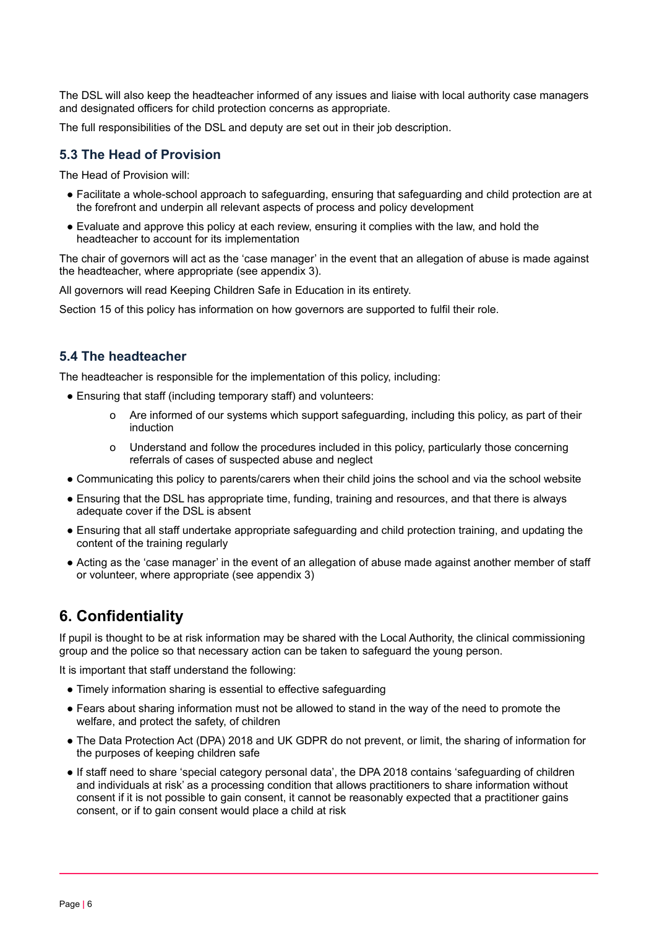The DSL will also keep the headteacher informed of any issues and liaise with local authority case managers and designated officers for child protection concerns as appropriate.

The full responsibilities of the DSL and deputy are set out in their job description.

#### **5.3 The Head of Provision**

The Head of Provision will:

- Facilitate a whole-school approach to safeguarding, ensuring that safeguarding and child protection are at the forefront and underpin all relevant aspects of process and policy development
- Evaluate and approve this policy at each review, ensuring it complies with the law, and hold the headteacher to account for its implementation

The chair of governors will act as the 'case manager' in the event that an allegation of abuse is made against the headteacher, where appropriate (see appendix 3).

All governors will read Keeping Children Safe in Education in its entirety.

Section 15 of this policy has information on how governors are supported to fulfil their role.

# **5.4 The headteacher**

The headteacher is responsible for the implementation of this policy, including:

- Ensuring that staff (including temporary staff) and volunteers:
	- o Are informed of our systems which support safeguarding, including this policy, as part of their induction
	- o Understand and follow the procedures included in this policy, particularly those concerning referrals of cases of suspected abuse and neglect
- Communicating this policy to parents/carers when their child joins the school and via the school website
- Ensuring that the DSL has appropriate time, funding, training and resources, and that there is always adequate cover if the DSL is absent
- Ensuring that all staff undertake appropriate safeguarding and child protection training, and updating the content of the training regularly
- Acting as the 'case manager' in the event of an allegation of abuse made against another member of staff or volunteer, where appropriate (see appendix 3)

# <span id="page-5-0"></span>**6. Confidentiality**

If pupil is thought to be at risk information may be shared with the Local Authority, the clinical commissioning group and the police so that necessary action can be taken to safeguard the young person.

It is important that staff understand the following:

- Timely information sharing is essential to effective safeguarding
- Fears about sharing information must not be allowed to stand in the way of the need to promote the welfare, and protect the safety, of children
- The Data Protection Act (DPA) 2018 and UK GDPR do not prevent, or limit, the sharing of information for the purposes of keeping children safe
- If staff need to share 'special category personal data', the DPA 2018 contains 'safeguarding of children and individuals at risk' as a processing condition that allows practitioners to share information without consent if it is not possible to gain consent, it cannot be reasonably expected that a practitioner gains consent, or if to gain consent would place a child at risk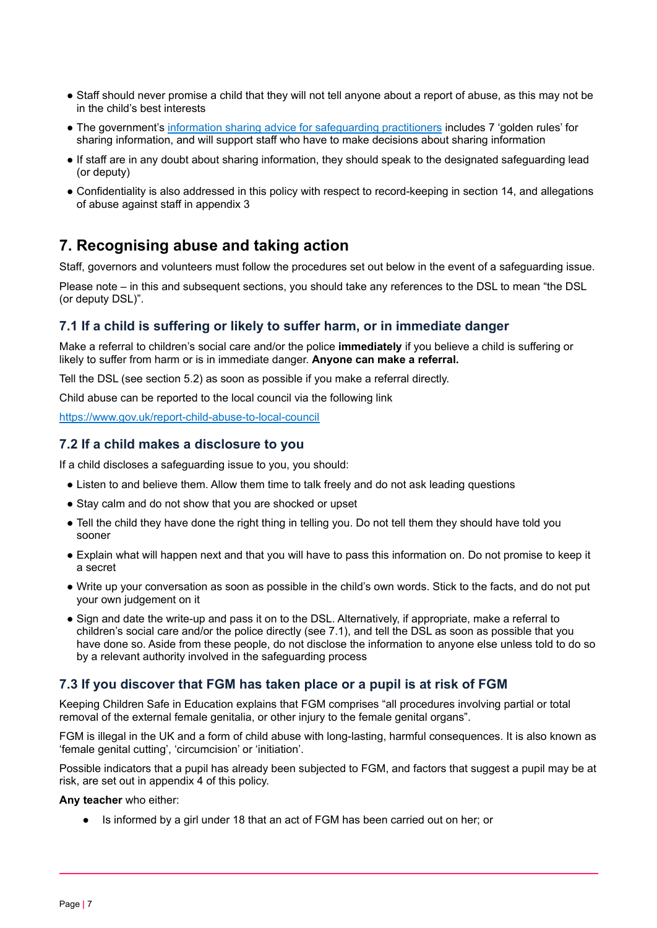- Staff should never promise a child that they will not tell anyone about a report of abuse, as this may not be in the child's best interests
- The government's information sharing advice for [safeguarding](https://www.gov.uk/government/publications/safeguarding-practitioners-information-sharing-advice) practitioners includes 7 'golden rules' for sharing information, and will support staff who have to make decisions about sharing information
- If staff are in any doubt about sharing information, they should speak to the designated safeguarding lead (or deputy)
- Confidentiality is also addressed in this policy with respect to record-keeping in section 14, and allegations of abuse against staff in appendix 3

# <span id="page-6-0"></span>**7. Recognising abuse and taking action**

Staff, governors and volunteers must follow the procedures set out below in the event of a safeguarding issue.

Please note – in this and subsequent sections, you should take any references to the DSL to mean "the DSL (or deputy DSL)".

# **7.1 If a child is suffering or likely to suffer harm, or in immediate danger**

Make a referral to children's social care and/or the police **immediately** if you believe a child is suffering or likely to suffer from harm or is in immediate danger. **Anyone can make a referral.**

Tell the DSL (see section 5.2) as soon as possible if you make a referral directly.

Child abuse can be reported to the local council via the following link

<https://www.gov.uk/report-child-abuse-to-local-council>

# **7.2 If a child makes a disclosure to you**

If a child discloses a safeguarding issue to you, you should:

- Listen to and believe them. Allow them time to talk freely and do not ask leading questions
- Stay calm and do not show that you are shocked or upset
- Tell the child they have done the right thing in telling you. Do not tell them they should have told you sooner
- Explain what will happen next and that you will have to pass this information on. Do not promise to keep it a secret
- Write up your conversation as soon as possible in the child's own words. Stick to the facts, and do not put your own judgement on it
- Sign and date the write-up and pass it on to the DSL. Alternatively, if appropriate, make a referral to children's social care and/or the police directly (see 7.1), and tell the DSL as soon as possible that you have done so. Aside from these people, do not disclose the information to anyone else unless told to do so by a relevant authority involved in the safeguarding process

# **7.3 If you discover that FGM has taken place or a pupil is at risk of FGM**

Keeping Children Safe in Education explains that FGM comprises "all procedures involving partial or total removal of the external female genitalia, or other injury to the female genital organs".

FGM is illegal in the UK and a form of child abuse with long-lasting, harmful consequences. It is also known as 'female genital cutting', 'circumcision' or 'initiation'.

Possible indicators that a pupil has already been subjected to FGM, and factors that suggest a pupil may be at risk, are set out in appendix 4 of this policy.

**Any teacher** who either:

Is informed by a girl under 18 that an act of FGM has been carried out on her; or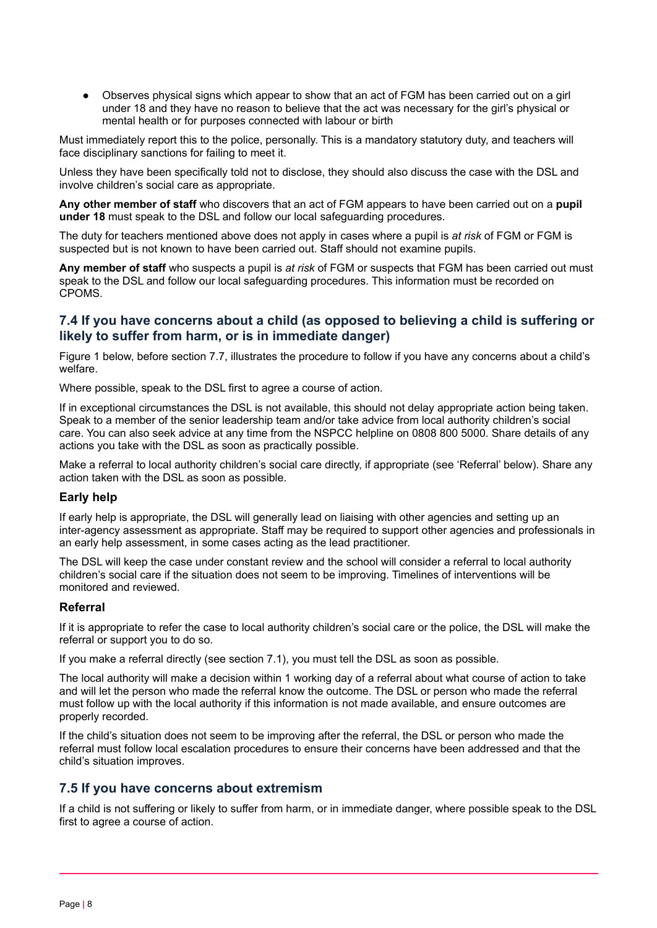● Observes physical signs which appear to show that an act of FGM has been carried out on a girl under 18 and they have no reason to believe that the act was necessary for the girl's physical or mental health or for purposes connected with labour or birth

Must immediately report this to the police, personally. This is a mandatory statutory duty, and teachers will face disciplinary sanctions for failing to meet it.

Unless they have been specifically told not to disclose, they should also discuss the case with the DSL and involve children's social care as appropriate.

**Any other member of staff** who discovers that an act of FGM appears to have been carried out on a **pupil under 18** must speak to the DSL and follow our local safeguarding procedures.

The duty for teachers mentioned above does not apply in cases where a pupil is *at risk* of FGM or FGM is suspected but is not known to have been carried out. Staff should not examine pupils.

**Any member of staff** who suspects a pupil is *at risk* of FGM or suspects that FGM has been carried out must speak to the DSL and follow our local safeguarding procedures. This information must be recorded on CPOMS.

# **7.4 If you have concerns about a child (as opposed to believing a child is suffering or likely to suffer from harm, or is in immediate danger)**

Figure 1 below, before section 7.7, illustrates the procedure to follow if you have any concerns about a child's welfare.

Where possible, speak to the DSL first to agree a course of action.

If in exceptional circumstances the DSL is not available, this should not delay appropriate action being taken. Speak to a member of the senior leadership team and/or take advice from local authority children's social care. You can also seek advice at any time from the NSPCC helpline on 0808 800 5000. Share details of any actions you take with the DSL as soon as practically possible.

Make a referral to local authority children's social care directly, if appropriate (see 'Referral' below). Share any action taken with the DSL as soon as possible.

#### **Early help**

If early help is appropriate, the DSL will generally lead on liaising with other agencies and setting up an inter-agency assessment as appropriate. Staff may be required to support other agencies and professionals in an early help assessment, in some cases acting as the lead practitioner.

The DSL will keep the case under constant review and the school will consider a referral to local authority children's social care if the situation does not seem to be improving. Timelines of interventions will be monitored and reviewed.

#### **Referral**

If it is appropriate to refer the case to local authority children's social care or the police, the DSL will make the referral or support you to do so.

If you make a referral directly (see section 7.1), you must tell the DSL as soon as possible.

The local authority will make a decision within 1 working day of a referral about what course of action to take and will let the person who made the referral know the outcome. The DSL or person who made the referral must follow up with the local authority if this information is not made available, and ensure outcomes are properly recorded.

If the child's situation does not seem to be improving after the referral, the DSL or person who made the referral must follow local escalation procedures to ensure their concerns have been addressed and that the child's situation improves.

# **7.5 If you have concerns about extremism**

If a child is not suffering or likely to suffer from harm, or in immediate danger, where possible speak to the DSL first to agree a course of action.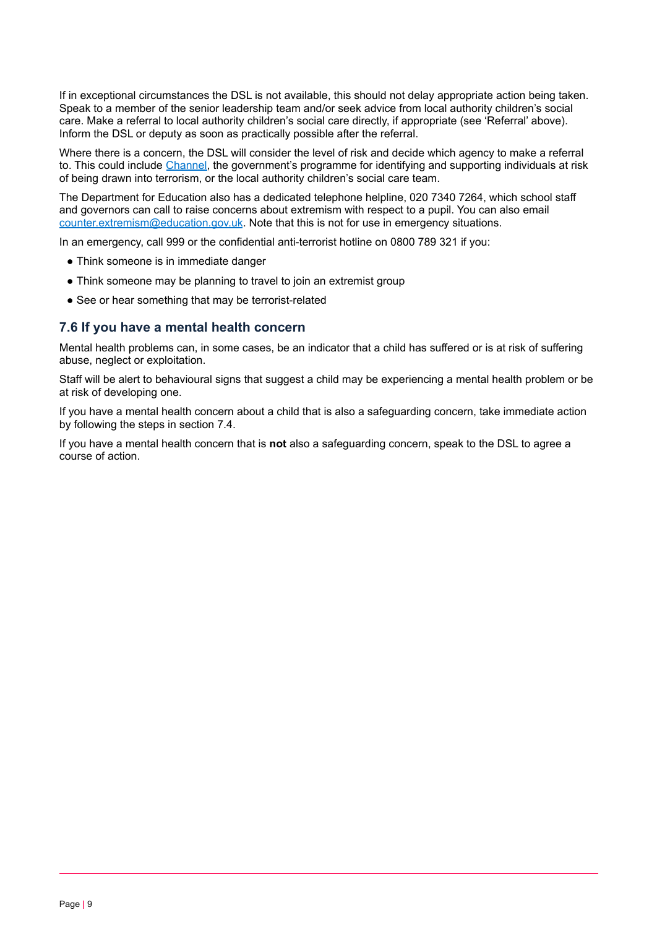If in exceptional circumstances the DSL is not available, this should not delay appropriate action being taken. Speak to a member of the senior leadership team and/or seek advice from local authority children's social care. Make a referral to local authority children's social care directly, if appropriate (see 'Referral' above). Inform the DSL or deputy as soon as practically possible after the referral.

Where there is a concern, the DSL will consider the level of risk and decide which agency to make a referral to. This could include [Channel,](https://www.gov.uk/government/publications/channel-guidance) the government's programme for identifying and supporting individuals at risk of being drawn into terrorism, or the local authority children's social care team.

The Department for Education also has a dedicated telephone helpline, 020 7340 7264, which school staff and governors can call to raise concerns about extremism with respect to a pupil. You can also email [counter.extremism@education.gov.uk](mailto:counter.extremism@education.gov.uk). Note that this is not for use in emergency situations.

In an emergency, call 999 or the confidential anti-terrorist hotline on 0800 789 321 if you:

- Think someone is in immediate danger
- Think someone may be planning to travel to join an extremist group
- See or hear something that may be terrorist-related

#### **7.6 If you have a mental health concern**

Mental health problems can, in some cases, be an indicator that a child has suffered or is at risk of suffering abuse, neglect or exploitation.

Staff will be alert to behavioural signs that suggest a child may be experiencing a mental health problem or be at risk of developing one.

If you have a mental health concern about a child that is also a safeguarding concern, take immediate action by following the steps in section 7.4.

If you have a mental health concern that is **not** also a safeguarding concern, speak to the DSL to agree a course of action.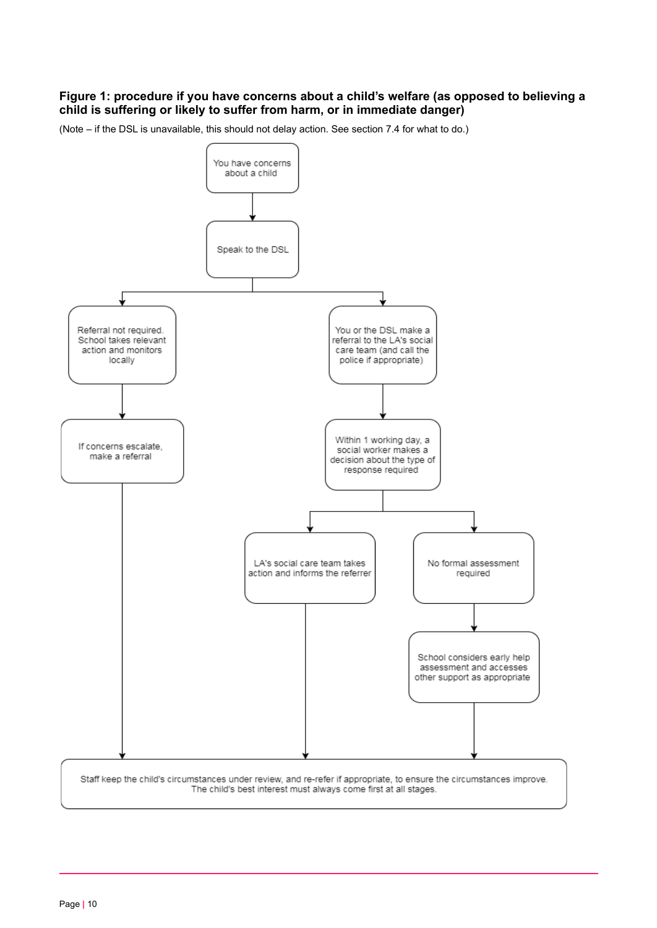### **Figure 1: procedure if you have concerns about a child's welfare (as opposed to believing a child is suffering or likely to suffer from harm, or in immediate danger)**

(Note – if the DSL is unavailable, this should not delay action. See section 7.4 for what to do.)

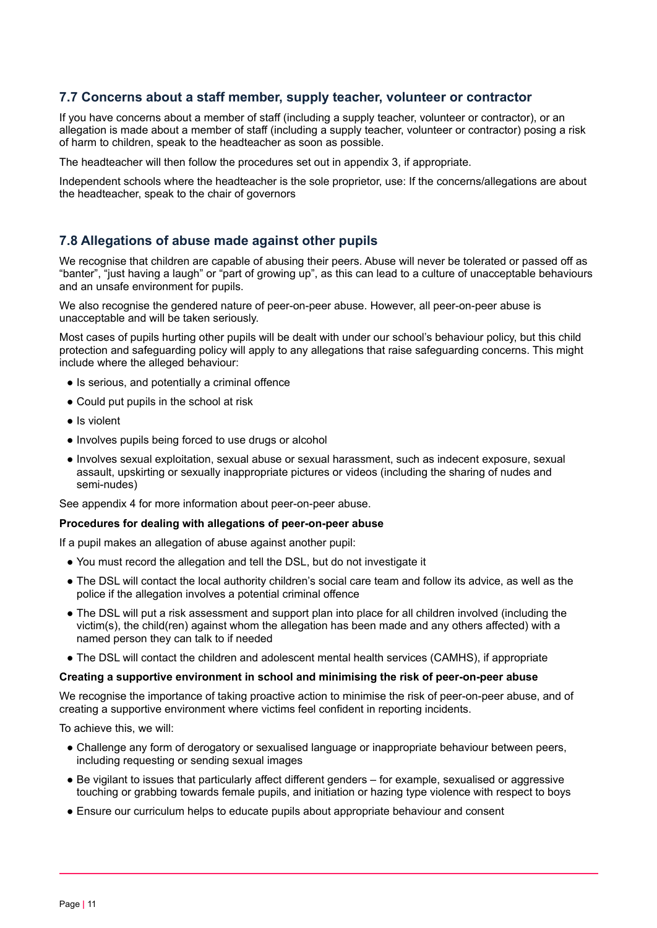# **7.7 Concerns about a staff member, supply teacher, volunteer or contractor**

If you have concerns about a member of staff (including a supply teacher, volunteer or contractor), or an allegation is made about a member of staff (including a supply teacher, volunteer or contractor) posing a risk of harm to children, speak to the headteacher as soon as possible.

The headteacher will then follow the procedures set out in appendix 3, if appropriate.

Independent schools where the headteacher is the sole proprietor, use: If the concerns/allegations are about the headteacher, speak to the chair of governors

# **7.8 Allegations of abuse made against other pupils**

We recognise that children are capable of abusing their peers. Abuse will never be tolerated or passed off as "banter", "just having a laugh" or "part of growing up", as this can lead to a culture of unacceptable behaviours and an unsafe environment for pupils.

We also recognise the gendered nature of peer-on-peer abuse. However, all peer-on-peer abuse is unacceptable and will be taken seriously.

Most cases of pupils hurting other pupils will be dealt with under our school's behaviour policy, but this child protection and safeguarding policy will apply to any allegations that raise safeguarding concerns. This might include where the alleged behaviour:

- Is serious, and potentially a criminal offence
- Could put pupils in the school at risk
- Is violent
- Involves pupils being forced to use drugs or alcohol
- Involves sexual exploitation, sexual abuse or sexual harassment, such as indecent exposure, sexual assault, upskirting or sexually inappropriate pictures or videos (including the sharing of nudes and semi-nudes)

See appendix 4 for more information about peer-on-peer abuse.

#### **Procedures for dealing with allegations of peer-on-peer abuse**

If a pupil makes an allegation of abuse against another pupil:

- You must record the allegation and tell the DSL, but do not investigate it
- The DSL will contact the local authority children's social care team and follow its advice, as well as the police if the allegation involves a potential criminal offence
- The DSL will put a risk assessment and support plan into place for all children involved (including the victim(s), the child(ren) against whom the allegation has been made and any others affected) with a named person they can talk to if needed
- The DSL will contact the children and adolescent mental health services (CAMHS), if appropriate

#### **Creating a supportive environment in school and minimising the risk of peer-on-peer abuse**

We recognise the importance of taking proactive action to minimise the risk of peer-on-peer abuse, and of creating a supportive environment where victims feel confident in reporting incidents.

To achieve this, we will:

- Challenge any form of derogatory or sexualised language or inappropriate behaviour between peers, including requesting or sending sexual images
- Be vigilant to issues that particularly affect different genders for example, sexualised or aggressive touching or grabbing towards female pupils, and initiation or hazing type violence with respect to boys
- Ensure our curriculum helps to educate pupils about appropriate behaviour and consent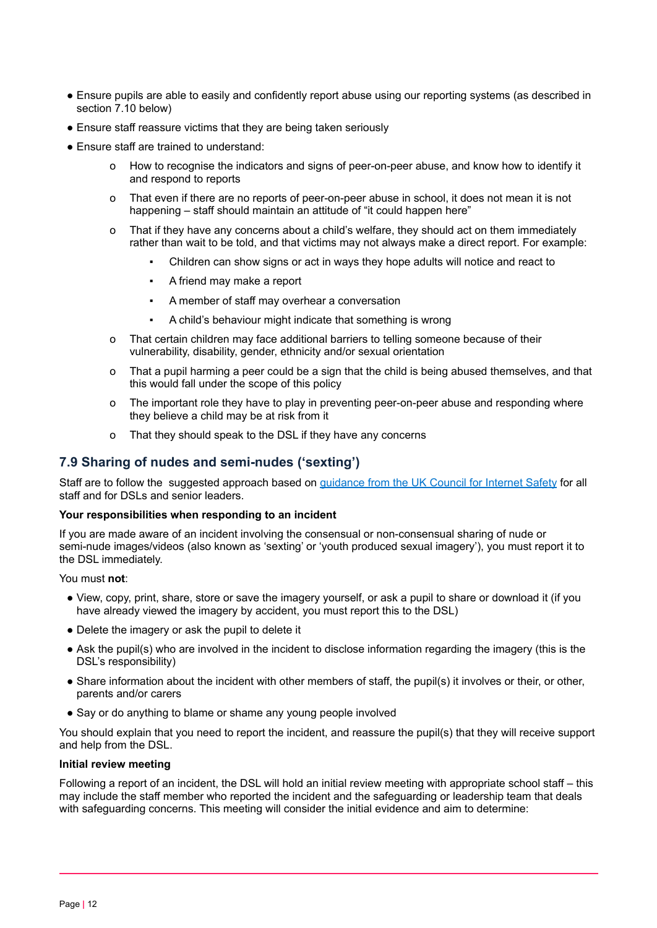- Ensure pupils are able to easily and confidently report abuse using our reporting systems (as described in section 7.10 below)
- Ensure staff reassure victims that they are being taken seriously
- Ensure staff are trained to understand:
	- o How to recognise the indicators and signs of peer-on-peer abuse, and know how to identify it and respond to reports
	- o That even if there are no reports of peer-on-peer abuse in school, it does not mean it is not happening – staff should maintain an attitude of "it could happen here"
	- o That if they have any concerns about a child's welfare, they should act on them immediately rather than wait to be told, and that victims may not always make a direct report. For example:
		- Children can show signs or act in ways they hope adults will notice and react to
		- A friend may make a report
		- A member of staff may overhear a conversation
		- A child's behaviour might indicate that something is wrong
	- o That certain children may face additional barriers to telling someone because of their vulnerability, disability, gender, ethnicity and/or sexual orientation
	- o That a pupil harming a peer could be a sign that the child is being abused themselves, and that this would fall under the scope of this policy
	- o The important role they have to play in preventing peer-on-peer abuse and responding where they believe a child may be at risk from it
	- o That they should speak to the DSL if they have any concerns

# **7.9 Sharing of nudes and semi-nudes ('sexting')**

Staff are to follow the suggested approach based on [guidance](https://www.gov.uk/government/publications/sharing-nudes-and-semi-nudes-advice-for-education-settings-working-with-children-and-young-people) from the UK Council for Internet Safety for all staff and for DSLs and senior [leaders.](https://assets.publishing.service.gov.uk/government/uploads/system/uploads/attachment_data/file/609874/6_2939_SP_NCA_Sexting_In_Schools_FINAL_Update_Jan17.pdf)

#### **Your responsibilities when responding to an incident**

If you are made aware of an incident involving the consensual or non-consensual sharing of nude or semi-nude images/videos (also known as 'sexting' or 'youth produced sexual imagery'), you must report it to the DSL immediately.

You must **not**:

- View, copy, print, share, store or save the imagery yourself, or ask a pupil to share or download it (if you have already viewed the imagery by accident, you must report this to the DSL)
- Delete the imagery or ask the pupil to delete it
- Ask the pupil(s) who are involved in the incident to disclose information regarding the imagery (this is the DSL's responsibility)
- Share information about the incident with other members of staff, the pupil(s) it involves or their, or other, parents and/or carers
- Say or do anything to blame or shame any young people involved

You should explain that you need to report the incident, and reassure the pupil(s) that they will receive support and help from the DSL.

#### **Initial review meeting**

Following a report of an incident, the DSL will hold an initial review meeting with appropriate school staff – this may include the staff member who reported the incident and the safeguarding or leadership team that deals with safeguarding concerns. This meeting will consider the initial evidence and aim to determine: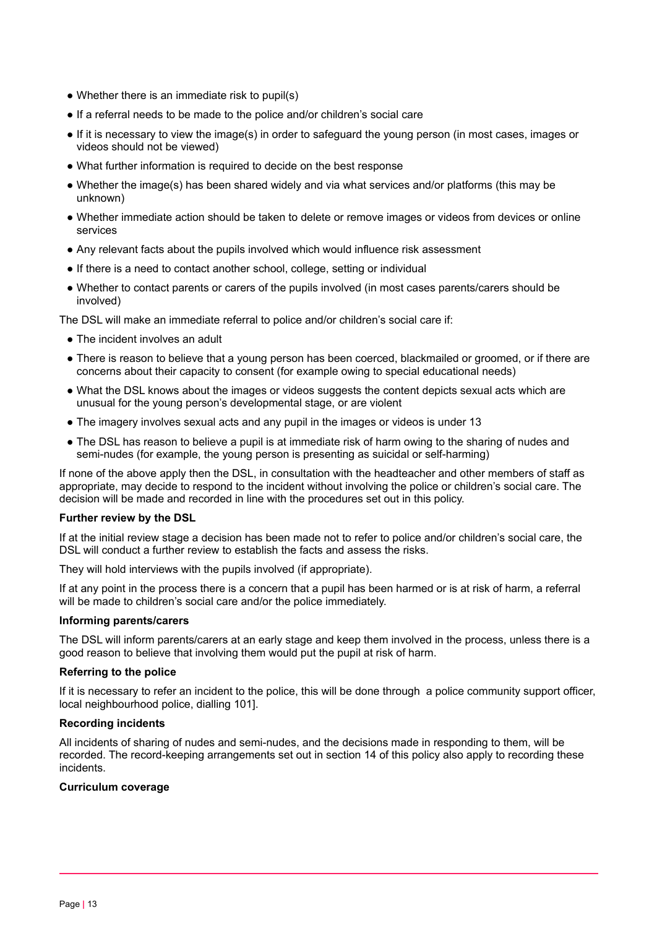- Whether there is an immediate risk to pupil(s)
- If a referral needs to be made to the police and/or children's social care
- If it is necessary to view the image(s) in order to safeguard the young person (in most cases, images or videos should not be viewed)
- What further information is required to decide on the best response
- Whether the image(s) has been shared widely and via what services and/or platforms (this may be unknown)
- Whether immediate action should be taken to delete or remove images or videos from devices or online services
- Any relevant facts about the pupils involved which would influence risk assessment
- If there is a need to contact another school, college, setting or individual
- Whether to contact parents or carers of the pupils involved (in most cases parents/carers should be involved)

The DSL will make an immediate referral to police and/or children's social care if:

- The incident involves an adult
- There is reason to believe that a young person has been coerced, blackmailed or groomed, or if there are concerns about their capacity to consent (for example owing to special educational needs)
- What the DSL knows about the images or videos suggests the content depicts sexual acts which are unusual for the young person's developmental stage, or are violent
- The imagery involves sexual acts and any pupil in the images or videos is under 13
- The DSL has reason to believe a pupil is at immediate risk of harm owing to the sharing of nudes and semi-nudes (for example, the young person is presenting as suicidal or self-harming)

If none of the above apply then the DSL, in consultation with the headteacher and other members of staff as appropriate, may decide to respond to the incident without involving the police or children's social care. The decision will be made and recorded in line with the procedures set out in this policy.

#### **Further review by the DSL**

If at the initial review stage a decision has been made not to refer to police and/or children's social care, the DSL will conduct a further review to establish the facts and assess the risks.

They will hold interviews with the pupils involved (if appropriate).

If at any point in the process there is a concern that a pupil has been harmed or is at risk of harm, a referral will be made to children's social care and/or the police immediately.

#### **Informing parents/carers**

The DSL will inform parents/carers at an early stage and keep them involved in the process, unless there is a good reason to believe that involving them would put the pupil at risk of harm.

#### **Referring to the police**

If it is necessary to refer an incident to the police, this will be done through a police community support officer, local neighbourhood police, dialling 101].

#### **Recording incidents**

All incidents of sharing of nudes and semi-nudes, and the decisions made in responding to them, will be recorded. The record-keeping arrangements set out in section 14 of this policy also apply to recording these incidents.

#### **Curriculum coverage**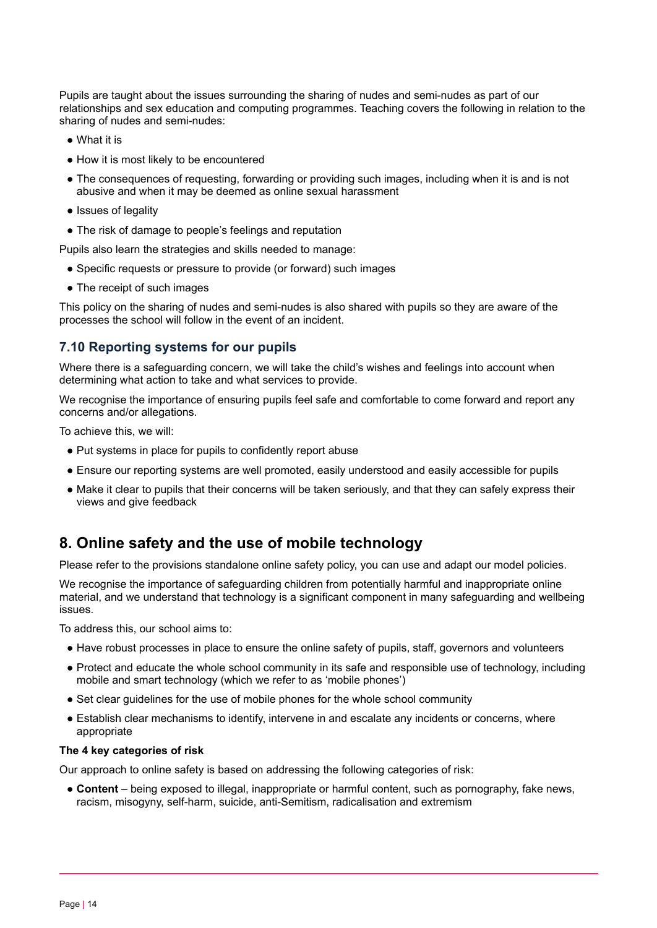Pupils are taught about the issues surrounding the sharing of nudes and semi-nudes as part of our relationships and sex education and computing programmes. Teaching covers the following in relation to the sharing of nudes and semi-nudes:

- What it is
- How it is most likely to be encountered
- The consequences of requesting, forwarding or providing such images, including when it is and is not abusive and when it may be deemed as online sexual harassment
- Issues of legality
- The risk of damage to people's feelings and reputation

Pupils also learn the strategies and skills needed to manage:

- Specific requests or pressure to provide (or forward) such images
- The receipt of such images

This policy on the sharing of nudes and semi-nudes is also shared with pupils so they are aware of the processes the school will follow in the event of an incident.

# **7.10 Reporting systems for our pupils**

Where there is a safeguarding concern, we will take the child's wishes and feelings into account when determining what action to take and what services to provide.

We recognise the importance of ensuring pupils feel safe and comfortable to come forward and report any concerns and/or allegations.

To achieve this, we will:

- Put systems in place for pupils to confidently report abuse
- Ensure our reporting systems are well promoted, easily understood and easily accessible for pupils
- Make it clear to pupils that their concerns will be taken seriously, and that they can safely express their views and give feedback

# <span id="page-13-0"></span>**8. Online safety and the use of mobile technology**

Please refer to the provisions standalone online safety policy, you can use and adapt our model policies.

We recognise the importance of safeguarding children from potentially harmful and inappropriate online material, and we understand that technology is a significant component in many safeguarding and wellbeing issues.

To address this, our school aims to:

- Have robust processes in place to ensure the online safety of pupils, staff, governors and volunteers
- Protect and educate the whole school community in its safe and responsible use of technology, including mobile and smart technology (which we refer to as 'mobile phones')
- Set clear quidelines for the use of mobile phones for the whole school community
- Establish clear mechanisms to identify, intervene in and escalate any incidents or concerns, where appropriate

#### **The 4 key categories of risk**

Our approach to online safety is based on addressing the following categories of risk:

● **Content** – being exposed to illegal, inappropriate or harmful content, such as pornography, fake news, racism, misogyny, self-harm, suicide, anti-Semitism, radicalisation and extremism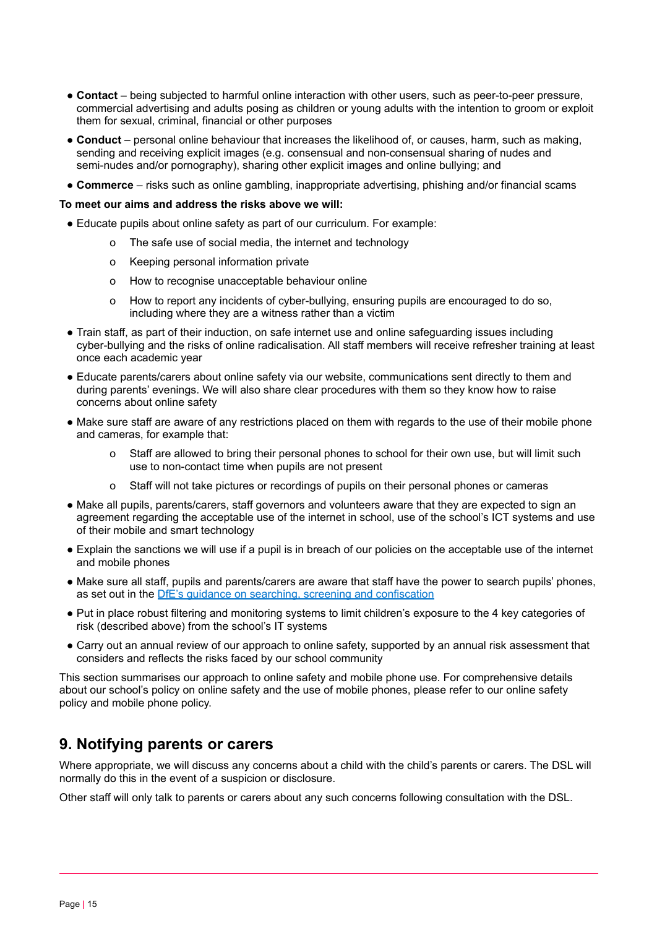- **Contact** being subjected to harmful online interaction with other users, such as peer-to-peer pressure, commercial advertising and adults posing as children or young adults with the intention to groom or exploit them for sexual, criminal, financial or other purposes
- **Conduct** personal online behaviour that increases the likelihood of, or causes, harm, such as making, sending and receiving explicit images (e.g. consensual and non-consensual sharing of nudes and semi-nudes and/or pornography), sharing other explicit images and online bullying; and
- **Commerce** risks such as online gambling, inappropriate advertising, phishing and/or financial scams

#### **To meet our aims and address the risks above we will:**

- Educate pupils about online safety as part of our curriculum. For example:
	- o The safe use of social media, the internet and technology
	- o Keeping personal information private
	- o How to recognise unacceptable behaviour online
	- o How to report any incidents of cyber-bullying, ensuring pupils are encouraged to do so, including where they are a witness rather than a victim
- Train staff, as part of their induction, on safe internet use and online safeguarding issues including cyber-bullying and the risks of online radicalisation. All staff members will receive refresher training at least once each academic year
- Educate parents/carers about online safety via our website, communications sent directly to them and during parents' evenings. We will also share clear procedures with them so they know how to raise concerns about online safety
- Make sure staff are aware of any restrictions placed on them with regards to the use of their mobile phone and cameras, for example that:
	- o Staff are allowed to bring their personal phones to school for their own use, but will limit such use to non-contact time when pupils are not present
	- o Staff will not take pictures or recordings of pupils on their personal phones or cameras
- Make all pupils, parents/carers, staff governors and volunteers aware that they are expected to sign an agreement regarding the acceptable use of the internet in school, use of the school's ICT systems and use of their mobile and smart technology
- Explain the sanctions we will use if a pupil is in breach of our policies on the acceptable use of the internet and mobile phones
- Make sure all staff, pupils and parents/carers are aware that staff have the power to search pupils' phones, as set out in the DfE's guidance on searching, screening and [confiscation](https://www.gov.uk/government/publications/searching-screening-and-confiscation)
- Put in place robust filtering and monitoring systems to limit children's exposure to the 4 key categories of risk (described above) from the school's IT systems
- Carry out an annual review of our approach to online safety, supported by an annual risk assessment that considers and reflects the risks faced by our school community

This section summarises our approach to online safety and mobile phone use. For comprehensive details about our school's policy on online safety and the use of mobile phones, please refer to our online safety policy and mobile phone policy.

# <span id="page-14-0"></span>**9. Notifying parents or carers**

Where appropriate, we will discuss any concerns about a child with the child's parents or carers. The DSL will normally do this in the event of a suspicion or disclosure.

Other staff will only talk to parents or carers about any such concerns following consultation with the DSL.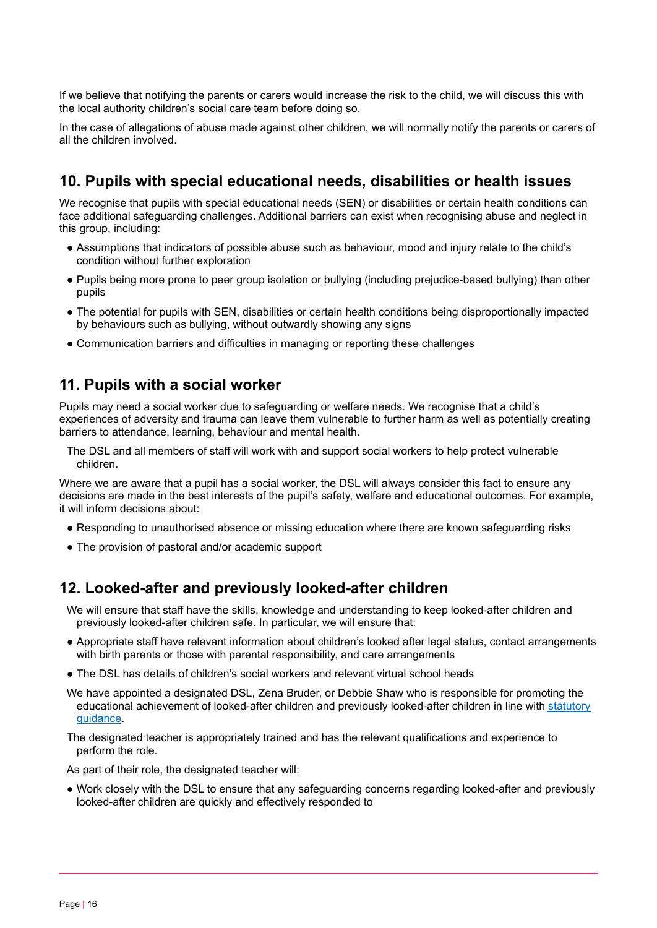If we believe that notifying the parents or carers would increase the risk to the child, we will discuss this with the local authority children's social care team before doing so.

In the case of allegations of abuse made against other children, we will normally notify the parents or carers of all the children involved.

# <span id="page-15-0"></span>**10. Pupils with special educational needs, disabilities or health issues**

We recognise that pupils with special educational needs (SEN) or disabilities or certain health conditions can face additional safeguarding challenges. Additional barriers can exist when recognising abuse and neglect in this group, including:

- Assumptions that indicators of possible abuse such as behaviour, mood and injury relate to the child's condition without further exploration
- Pupils being more prone to peer group isolation or bullying (including prejudice-based bullying) than other pupils
- The potential for pupils with SEN, disabilities or certain health conditions being disproportionally impacted by behaviours such as bullying, without outwardly showing any signs
- <span id="page-15-1"></span>● Communication barriers and difficulties in managing or reporting these challenges

# **11. Pupils with a social worker**

Pupils may need a social worker due to safeguarding or welfare needs. We recognise that a child's experiences of adversity and trauma can leave them vulnerable to further harm as well as potentially creating barriers to attendance, learning, behaviour and mental health.

The DSL and all members of staff will work with and support social workers to help protect vulnerable children.

Where we are aware that a pupil has a social worker, the DSL will always consider this fact to ensure any decisions are made in the best interests of the pupil's safety, welfare and educational outcomes. For example, it will inform decisions about:

- Responding to unauthorised absence or missing education where there are known safeguarding risks
- <span id="page-15-2"></span>• The provision of pastoral and/or academic support

# **12. Looked-after and previously looked-after children**

We will ensure that staff have the skills, knowledge and understanding to keep looked-after children and previously looked-after children safe. In particular, we will ensure that:

- Appropriate staff have relevant information about children's looked after legal status, contact arrangements with birth parents or those with parental responsibility, and care arrangements
- The DSL has details of children's social workers and relevant virtual school heads
- We have appointed a designated DSL, Zena Bruder, or Debbie Shaw who is responsible for promoting the educational achievement of looked-after children and previously looked-after children in line with [statutory](https://www.gov.uk/government/publications/designated-teacher-for-looked-after-children) [guidance](https://www.gov.uk/government/publications/designated-teacher-for-looked-after-children).
- The designated teacher is appropriately trained and has the relevant qualifications and experience to perform the role.

As part of their role, the designated teacher will:

● Work closely with the DSL to ensure that any safeguarding concerns regarding looked-after and previously looked-after children are quickly and effectively responded to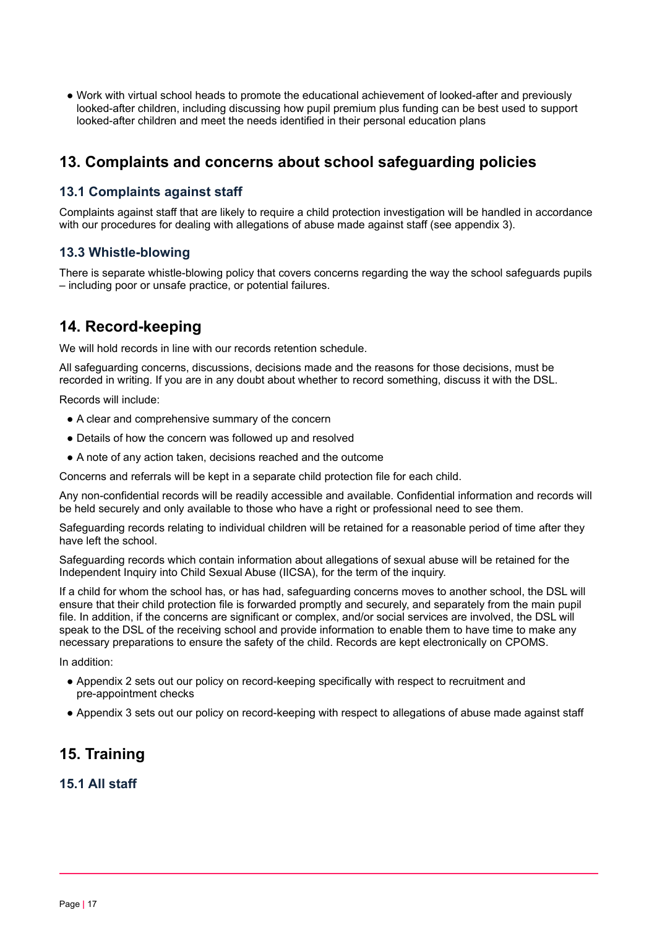● Work with virtual school heads to promote the educational achievement of looked-after and previously looked-after children, including discussing how pupil premium plus funding can be best used to support looked-after children and meet the needs identified in their personal education plans

# <span id="page-16-0"></span>**13. Complaints and concerns about school safeguarding policies**

# **13.1 Complaints against staff**

Complaints against staff that are likely to require a child protection investigation will be handled in accordance with our procedures for dealing with allegations of abuse made against staff (see appendix 3).

# **13.3 Whistle-blowing**

There is separate whistle-blowing policy that covers concerns regarding the way the school safeguards pupils – including poor or unsafe practice, or potential failures.

# <span id="page-16-1"></span>**14. Record-keeping**

We will hold records in line with our records retention schedule.

All safeguarding concerns, discussions, decisions made and the reasons for those decisions, must be recorded in writing. If you are in any doubt about whether to record something, discuss it with the DSL.

Records will include:

- A clear and comprehensive summary of the concern
- Details of how the concern was followed up and resolved
- A note of any action taken, decisions reached and the outcome

Concerns and referrals will be kept in a separate child protection file for each child.

Any non-confidential records will be readily accessible and available. Confidential information and records will be held securely and only available to those who have a right or professional need to see them.

Safeguarding records relating to individual children will be retained for a reasonable period of time after they have left the school.

Safeguarding records which contain information about allegations of sexual abuse will be retained for the Independent Inquiry into Child Sexual Abuse (IICSA), for the term of the inquiry.

If a child for whom the school has, or has had, safeguarding concerns moves to another school, the DSL will ensure that their child protection file is forwarded promptly and securely, and separately from the main pupil file. In addition, if the concerns are significant or complex, and/or social services are involved, the DSL will speak to the DSL of the receiving school and provide information to enable them to have time to make any necessary preparations to ensure the safety of the child. Records are kept electronically on CPOMS.

In addition:

- Appendix 2 sets out our policy on record-keeping specifically with respect to recruitment and pre-appointment checks
- <span id="page-16-2"></span>● Appendix 3 sets out our policy on record-keeping with respect to allegations of abuse made against staff

# **15. Training**

# **15.1 All staff**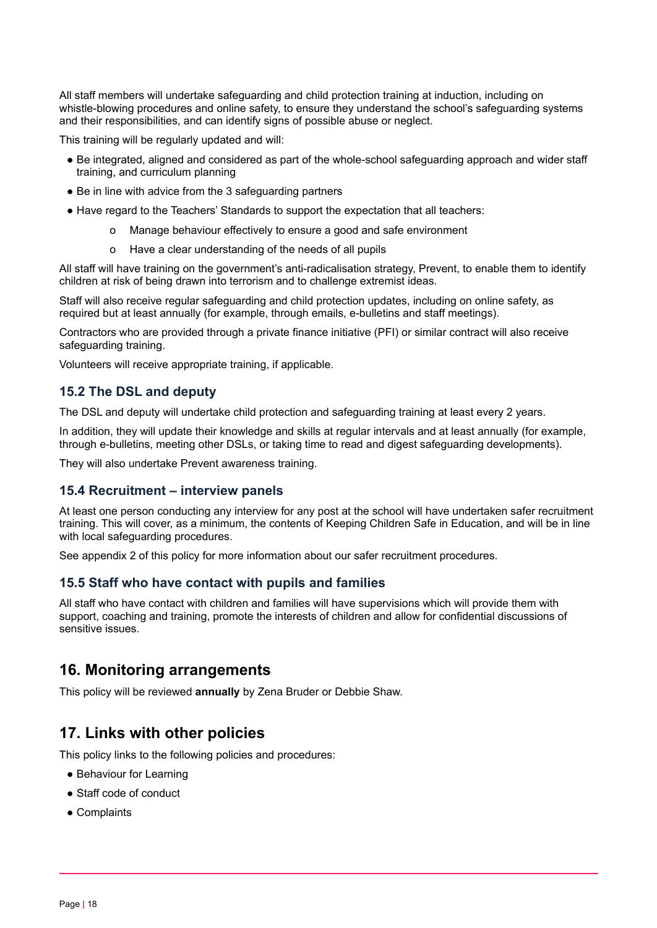All staff members will undertake safeguarding and child protection training at induction, including on whistle-blowing procedures and online safety, to ensure they understand the school's safeguarding systems and their responsibilities, and can identify signs of possible abuse or neglect.

This training will be regularly updated and will:

- Be integrated, aligned and considered as part of the whole-school safeguarding approach and wider staff training, and curriculum planning
- Be in line with advice from the 3 safeguarding partners
- Have regard to the Teachers' Standards to support the expectation that all teachers:
	- o Manage behaviour effectively to ensure a good and safe environment
	- o Have a clear understanding of the needs of all pupils

All staff will have training on the government's anti-radicalisation strategy, Prevent, to enable them to identify children at risk of being drawn into terrorism and to challenge extremist ideas.

Staff will also receive regular safeguarding and child protection updates, including on online safety, as required but at least annually (for example, through emails, e-bulletins and staff meetings).

Contractors who are provided through a private finance initiative (PFI) or similar contract will also receive safeguarding training.

Volunteers will receive appropriate training, if applicable.

# **15.2 The DSL and deputy**

The DSL and deputy will undertake child protection and safeguarding training at least every 2 years.

In addition, they will update their knowledge and skills at regular intervals and at least annually (for example, through e-bulletins, meeting other DSLs, or taking time to read and digest safeguarding developments).

They will also undertake Prevent awareness training.

# **15.4 Recruitment – interview panels**

At least one person conducting any interview for any post at the school will have undertaken safer recruitment training. This will cover, as a minimum, the contents of Keeping Children Safe in Education, and will be in line with local safeguarding procedures.

See appendix 2 of this policy for more information about our safer recruitment procedures.

# **15.5 Staff who have contact with pupils and families**

All staff who have contact with children and families will have supervisions which will provide them with support, coaching and training, promote the interests of children and allow for confidential discussions of sensitive issues.

# <span id="page-17-0"></span>**16. Monitoring arrangements**

<span id="page-17-1"></span>This policy will be reviewed **annually** by Zena Bruder or Debbie Shaw.

# **17. Links with other policies**

This policy links to the following policies and procedures:

- Behaviour for Learning
- Staff code of conduct
- Complaints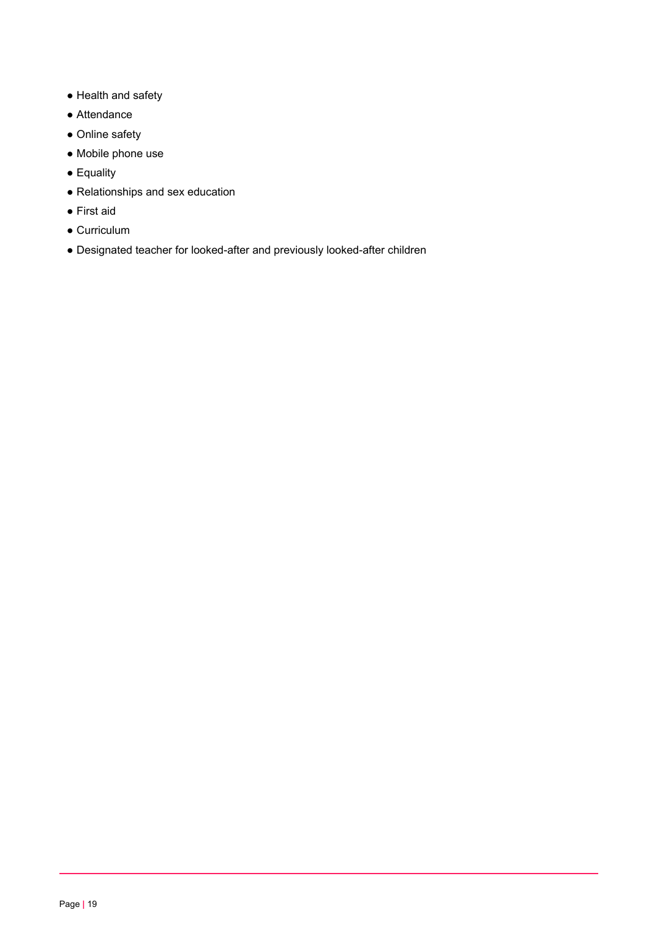- Health and safety
- Attendance
- Online safety
- Mobile phone use
- Equality
- Relationships and sex education
- First aid
- Curriculum
- Designated teacher for looked-after and previously looked-after children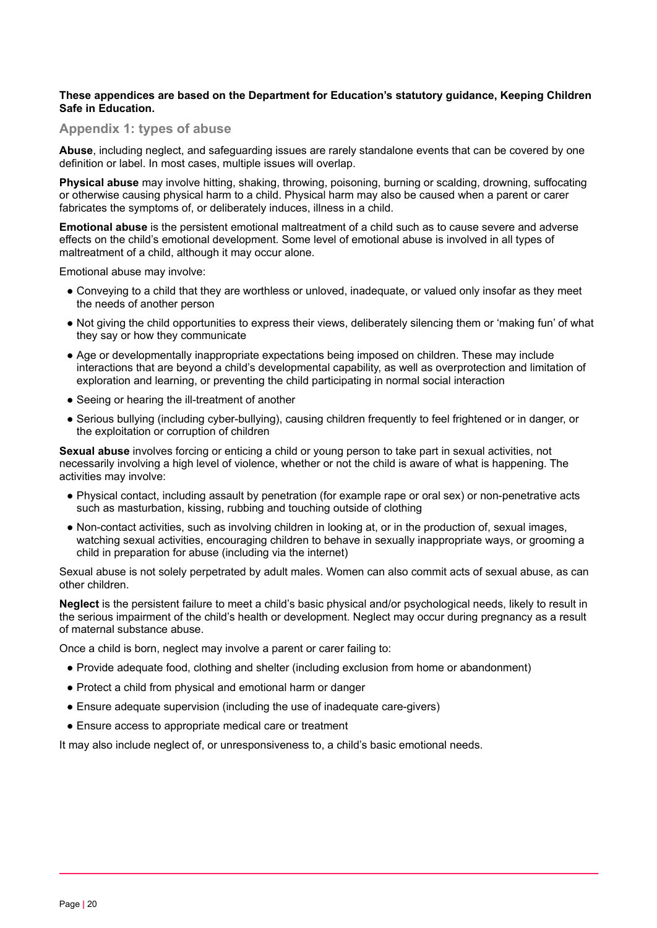#### <span id="page-19-0"></span>**These appendices are based on the Department for Education's statutory guidance, Keeping Children Safe in Education.**

#### **Appendix 1: types of abuse**

**Abuse**, including neglect, and safeguarding issues are rarely standalone events that can be covered by one definition or label. In most cases, multiple issues will overlap.

**Physical abuse** may involve hitting, shaking, throwing, poisoning, burning or scalding, drowning, suffocating or otherwise causing physical harm to a child. Physical harm may also be caused when a parent or carer fabricates the symptoms of, or deliberately induces, illness in a child.

**Emotional abuse** is the persistent emotional maltreatment of a child such as to cause severe and adverse effects on the child's emotional development. Some level of emotional abuse is involved in all types of maltreatment of a child, although it may occur alone.

Emotional abuse may involve:

- Conveying to a child that they are worthless or unloved, inadequate, or valued only insofar as they meet the needs of another person
- Not giving the child opportunities to express their views, deliberately silencing them or 'making fun' of what they say or how they communicate
- Age or developmentally inappropriate expectations being imposed on children. These may include interactions that are beyond a child's developmental capability, as well as overprotection and limitation of exploration and learning, or preventing the child participating in normal social interaction
- Seeing or hearing the ill-treatment of another
- Serious bullying (including cyber-bullying), causing children frequently to feel frightened or in danger, or the exploitation or corruption of children

**Sexual abuse** involves forcing or enticing a child or young person to take part in sexual activities, not necessarily involving a high level of violence, whether or not the child is aware of what is happening. The activities may involve:

- Physical contact, including assault by penetration (for example rape or oral sex) or non-penetrative acts such as masturbation, kissing, rubbing and touching outside of clothing
- Non-contact activities, such as involving children in looking at, or in the production of, sexual images, watching sexual activities, encouraging children to behave in sexually inappropriate ways, or grooming a child in preparation for abuse (including via the internet)

Sexual abuse is not solely perpetrated by adult males. Women can also commit acts of sexual abuse, as can other children.

**Neglect** is the persistent failure to meet a child's basic physical and/or psychological needs, likely to result in the serious impairment of the child's health or development. Neglect may occur during pregnancy as a result of maternal substance abuse.

Once a child is born, neglect may involve a parent or carer failing to:

- Provide adequate food, clothing and shelter (including exclusion from home or abandonment)
- Protect a child from physical and emotional harm or danger
- Ensure adequate supervision (including the use of inadequate care-givers)
- Ensure access to appropriate medical care or treatment

It may also include neglect of, or unresponsiveness to, a child's basic emotional needs.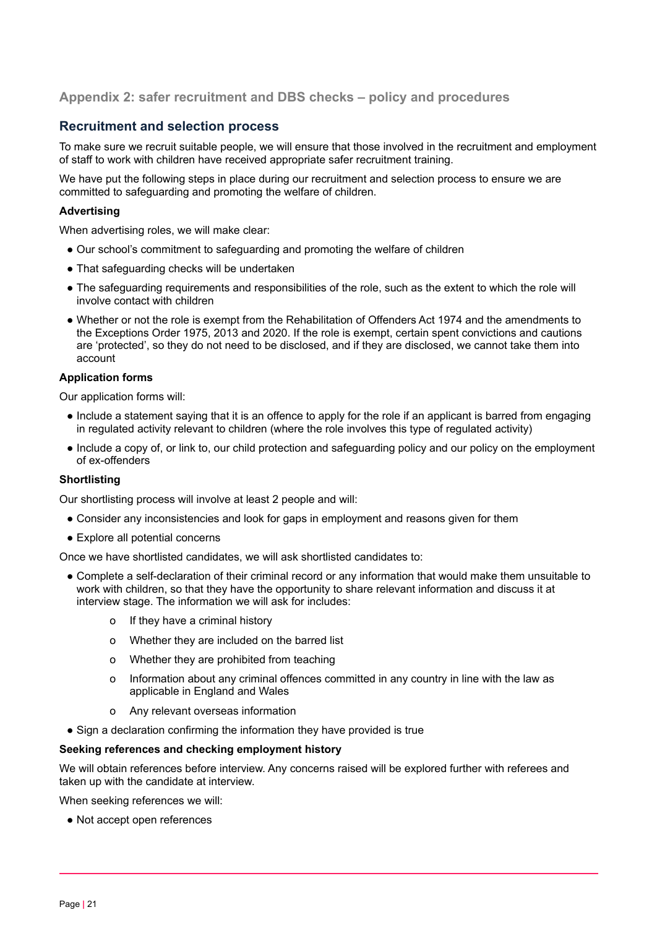# <span id="page-20-0"></span>**Appendix 2: safer recruitment and DBS checks – policy and procedures**

# **Recruitment and selection process**

To make sure we recruit suitable people, we will ensure that those involved in the recruitment and employment of staff to work with children have received appropriate safer recruitment training.

We have put the following steps in place during our recruitment and selection process to ensure we are committed to safeguarding and promoting the welfare of children.

### **Advertising**

When advertising roles, we will make clear:

- Our school's commitment to safeguarding and promoting the welfare of children
- That safeguarding checks will be undertaken
- The safeguarding requirements and responsibilities of the role, such as the extent to which the role will involve contact with children
- Whether or not the role is exempt from the Rehabilitation of Offenders Act 1974 and the amendments to the Exceptions Order 1975, 2013 and 2020. If the role is exempt, certain spent convictions and cautions are 'protected', so they do not need to be disclosed, and if they are disclosed, we cannot take them into account

#### **Application forms**

Our application forms will:

- Include a statement saying that it is an offence to apply for the role if an applicant is barred from engaging in regulated activity relevant to children (where the role involves this type of regulated activity)
- Include a copy of, or link to, our child protection and safeguarding policy and our policy on the employment of ex-offenders

#### **Shortlisting**

Our shortlisting process will involve at least 2 people and will:

- Consider any inconsistencies and look for gaps in employment and reasons given for them
- Explore all potential concerns

Once we have shortlisted candidates, we will ask shortlisted candidates to:

- Complete a self-declaration of their criminal record or any information that would make them unsuitable to work with children, so that they have the opportunity to share relevant information and discuss it at interview stage. The information we will ask for includes:
	- o If they have a criminal history
	- o Whether they are included on the barred list
	- o Whether they are prohibited from teaching
	- o Information about any criminal offences committed in any country in line with the law as applicable in England and Wales
	- o Any relevant overseas information
- Sign a declaration confirming the information they have provided is true

#### **Seeking references and checking employment history**

We will obtain references before interview. Any concerns raised will be explored further with referees and taken up with the candidate at interview.

When seeking references we will:

● Not accept open references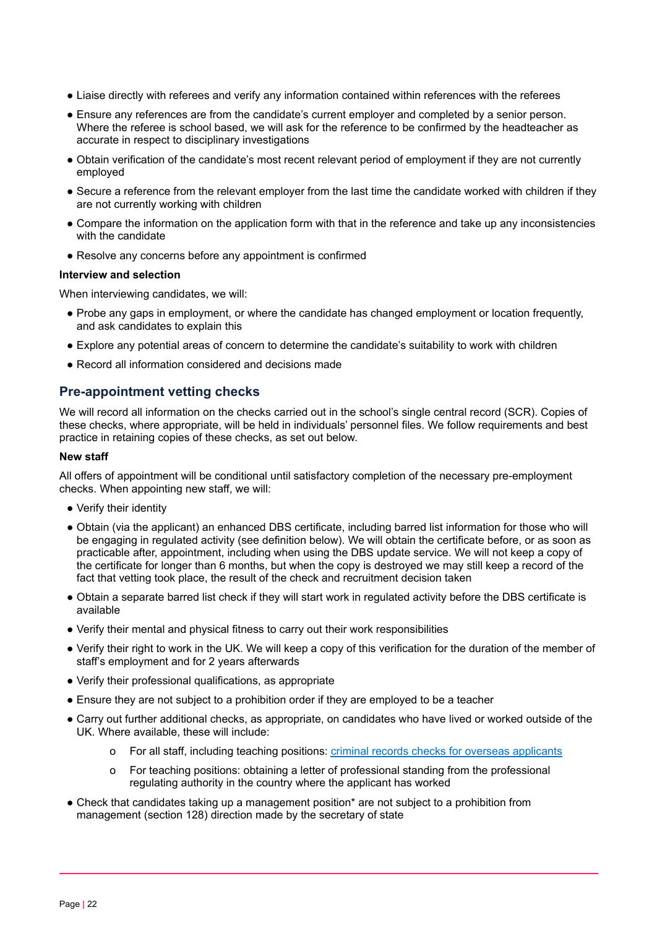- Liaise directly with referees and verify any information contained within references with the referees
- Ensure any references are from the candidate's current employer and completed by a senior person. Where the referee is school based, we will ask for the reference to be confirmed by the headteacher as accurate in respect to disciplinary investigations
- Obtain verification of the candidate's most recent relevant period of employment if they are not currently employed
- Secure a reference from the relevant employer from the last time the candidate worked with children if they are not currently working with children
- Compare the information on the application form with that in the reference and take up any inconsistencies with the candidate
- Resolve any concerns before any appointment is confirmed

#### **Interview and selection**

When interviewing candidates, we will:

- Probe any gaps in employment, or where the candidate has changed employment or location frequently, and ask candidates to explain this
- Explore any potential areas of concern to determine the candidate's suitability to work with children
- Record all information considered and decisions made

# **Pre-appointment vetting checks**

We will record all information on the checks carried out in the school's single central record (SCR). Copies of these checks, where appropriate, will be held in individuals' personnel files. We follow requirements and best practice in retaining copies of these checks, as set out below.

#### **New staff**

All offers of appointment will be conditional until satisfactory completion of the necessary pre-employment checks. When appointing new staff, we will:

- Verify their identity
- Obtain (via the applicant) an enhanced DBS certificate, including barred list information for those who will be engaging in regulated activity (see definition below). We will obtain the certificate before, or as soon as practicable after, appointment, including when using the DBS update service. We will not keep a copy of the certificate for longer than 6 months, but when the copy is destroyed we may still keep a record of the fact that vetting took place, the result of the check and recruitment decision taken
- Obtain a separate barred list check if they will start work in regulated activity before the DBS certificate is available
- Verify their mental and physical fitness to carry out their work responsibilities
- Verify their right to work in the UK. We will keep a copy of this verification for the duration of the member of staff's employment and for 2 years afterwards
- Verify their professional qualifications, as appropriate
- Ensure they are not subject to a prohibition order if they are employed to be a teacher
- Carry out further additional checks, as appropriate, on candidates who have lived or worked outside of the UK. Where available, these will include:
	- o For all staff, including teaching positions: criminal records checks for overseas [applicants](https://www.gov.uk/government/publications/criminal-records-checks-for-overseas-applicants)
	- o For teaching positions: obtaining a letter of professional standing from the professional regulating authority in the country where the applicant has worked
- Check that candidates taking up a management position\* are not subject to a prohibition from management (section 128) direction made by the secretary of state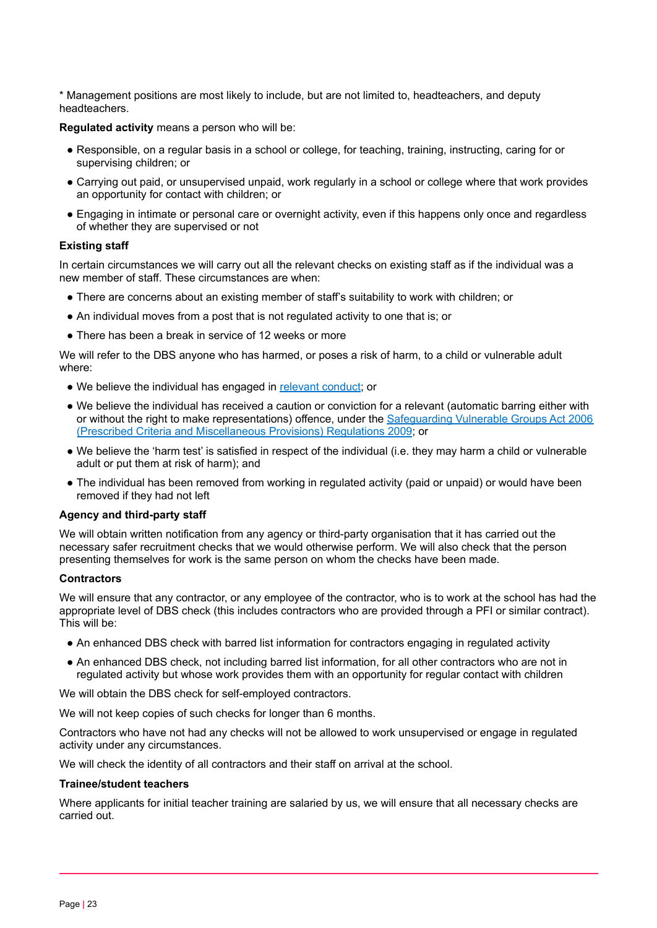\* Management positions are most likely to include, but are not limited to, headteachers, and deputy headteachers.

**Regulated activity** means a person who will be:

- Responsible, on a regular basis in a school or college, for teaching, training, instructing, caring for or supervising children; or
- Carrying out paid, or unsupervised unpaid, work regularly in a school or college where that work provides an opportunity for contact with children; or
- Engaging in intimate or personal care or overnight activity, even if this happens only once and regardless of whether they are supervised or not

#### **Existing staff**

In certain circumstances we will carry out all the relevant checks on existing staff as if the individual was a new member of staff. These circumstances are when:

- There are concerns about an existing member of staff's suitability to work with children; or
- An individual moves from a post that is not regulated activity to one that is; or
- There has been a break in service of 12 weeks or more

We will refer to the DBS anyone who has harmed, or poses a risk of harm, to a child or vulnerable adult where:

- We believe the individual has engaged in [relevant](https://www.gov.uk/guidance/making-barring-referrals-to-the-dbs#relevant-conduct-in-relation-to-children) conduct; or
- We believe the individual has received a caution or conviction for a relevant (automatic barring either with or without the right to make representations) offence, under the [Safeguarding](http://www.legislation.gov.uk/uksi/2009/37/contents/made) Vulnerable Groups Act 2006 (Prescribed Criteria and [Miscellaneous](http://www.legislation.gov.uk/uksi/2009/37/contents/made) Provisions) Regulations 2009; or
- We believe the 'harm test' is satisfied in respect of the individual (i.e. they may harm a child or vulnerable adult or put them at risk of harm); and
- The individual has been removed from working in regulated activity (paid or unpaid) or would have been removed if they had not left

#### **Agency and third-party staff**

We will obtain written notification from any agency or third-party organisation that it has carried out the necessary safer recruitment checks that we would otherwise perform. We will also check that the person presenting themselves for work is the same person on whom the checks have been made.

#### **Contractors**

We will ensure that any contractor, or any employee of the contractor, who is to work at the school has had the appropriate level of DBS check (this includes contractors who are provided through a PFI or similar contract). This will be:

- An enhanced DBS check with barred list information for contractors engaging in regulated activity
- An enhanced DBS check, not including barred list information, for all other contractors who are not in regulated activity but whose work provides them with an opportunity for regular contact with children

We will obtain the DBS check for self-employed contractors.

We will not keep copies of such checks for longer than 6 months.

Contractors who have not had any checks will not be allowed to work unsupervised or engage in regulated activity under any circumstances.

We will check the identity of all contractors and their staff on arrival at the school.

#### **Trainee/student teachers**

Where applicants for initial teacher training are salaried by us, we will ensure that all necessary checks are carried out.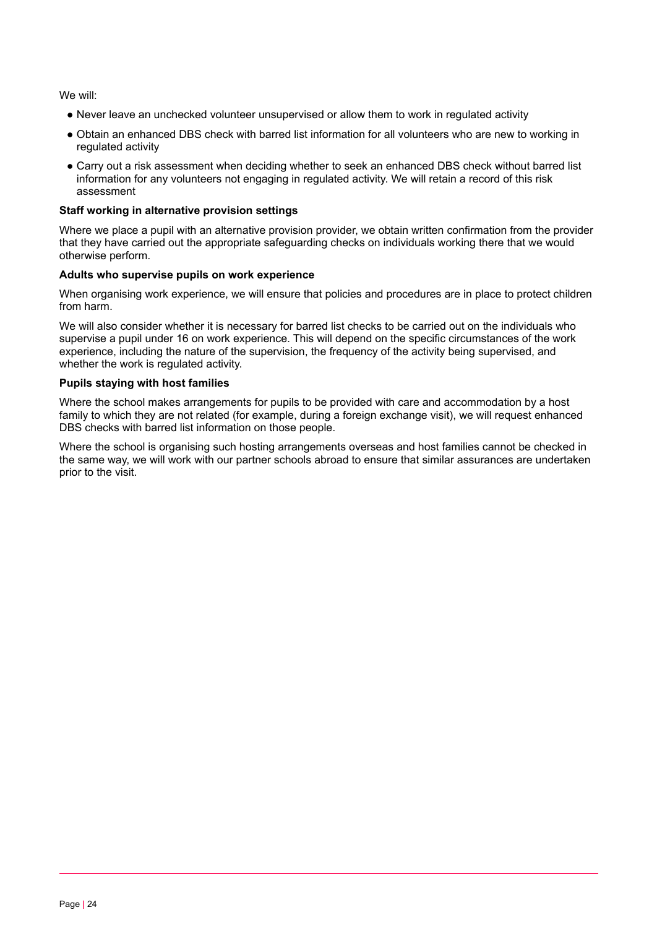We will:

- Never leave an unchecked volunteer unsupervised or allow them to work in regulated activity
- Obtain an enhanced DBS check with barred list information for all volunteers who are new to working in regulated activity
- Carry out a risk assessment when deciding whether to seek an enhanced DBS check without barred list information for any volunteers not engaging in regulated activity. We will retain a record of this risk assessment

#### **Staff working in alternative provision settings**

Where we place a pupil with an alternative provision provider, we obtain written confirmation from the provider that they have carried out the appropriate safeguarding checks on individuals working there that we would otherwise perform.

#### **Adults who supervise pupils on work experience**

When organising work experience, we will ensure that policies and procedures are in place to protect children from harm.

We will also consider whether it is necessary for barred list checks to be carried out on the individuals who supervise a pupil under 16 on work experience. This will depend on the specific circumstances of the work experience, including the nature of the supervision, the frequency of the activity being supervised, and whether the work is regulated activity.

#### **Pupils staying with host families**

Where the school makes arrangements for pupils to be provided with care and accommodation by a host family to which they are not related (for example, during a foreign exchange visit), we will request enhanced DBS checks with barred list information on those people.

Where the school is organising such hosting arrangements overseas and host families cannot be checked in the same way, we will work with our partner schools abroad to ensure that similar assurances are undertaken prior to the visit.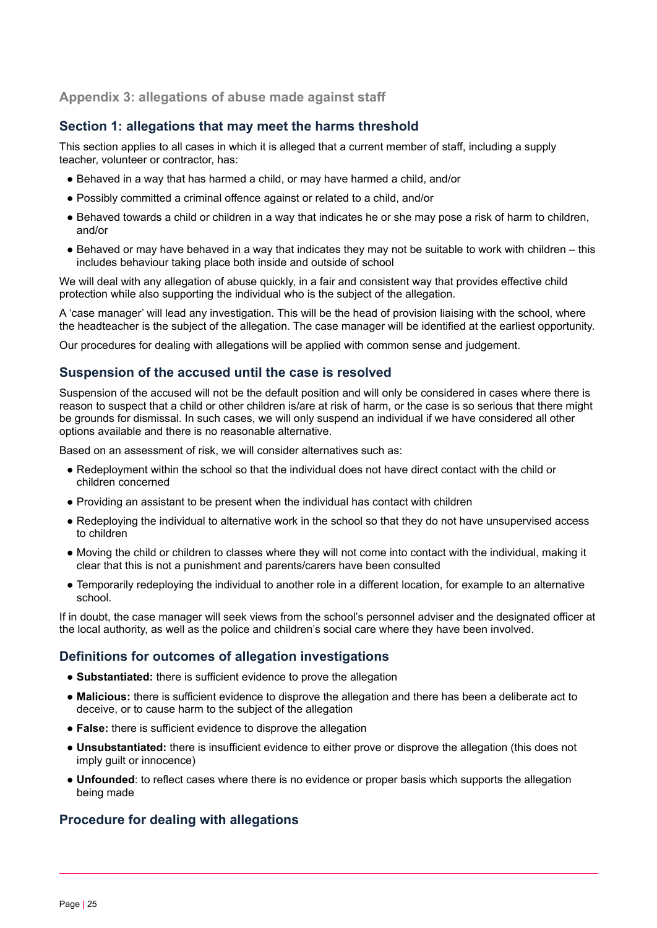# <span id="page-24-0"></span>**Appendix 3: allegations of abuse made against staff**

# **Section 1: allegations that may meet the harms threshold**

This section applies to all cases in which it is alleged that a current member of staff, including a supply teacher, volunteer or contractor, has:

- Behaved in a way that has harmed a child, or may have harmed a child, and/or
- Possibly committed a criminal offence against or related to a child, and/or
- Behaved towards a child or children in a way that indicates he or she may pose a risk of harm to children, and/or
- Behaved or may have behaved in a way that indicates they may not be suitable to work with children this includes behaviour taking place both inside and outside of school

We will deal with any allegation of abuse quickly, in a fair and consistent way that provides effective child protection while also supporting the individual who is the subject of the allegation.

A 'case manager' will lead any investigation. This will be the head of provision liaising with the school, where the headteacher is the subject of the allegation. The case manager will be identified at the earliest opportunity.

Our procedures for dealing with allegations will be applied with common sense and judgement.

# **Suspension of the accused until the case is resolved**

Suspension of the accused will not be the default position and will only be considered in cases where there is reason to suspect that a child or other children is/are at risk of harm, or the case is so serious that there might be grounds for dismissal. In such cases, we will only suspend an individual if we have considered all other options available and there is no reasonable alternative.

Based on an assessment of risk, we will consider alternatives such as:

- Redeployment within the school so that the individual does not have direct contact with the child or children concerned
- Providing an assistant to be present when the individual has contact with children
- Redeploying the individual to alternative work in the school so that they do not have unsupervised access to children
- Moving the child or children to classes where they will not come into contact with the individual, making it clear that this is not a punishment and parents/carers have been consulted
- Temporarily redeploying the individual to another role in a different location, for example to an alternative school.

If in doubt, the case manager will seek views from the school's personnel adviser and the designated officer at the local authority, as well as the police and children's social care where they have been involved.

#### **Definitions for outcomes of allegation investigations**

- **Substantiated:** there is sufficient evidence to prove the allegation
- **Malicious:** there is sufficient evidence to disprove the allegation and there has been a deliberate act to deceive, or to cause harm to the subject of the allegation
- **False:** there is sufficient evidence to disprove the allegation
- **Unsubstantiated:** there is insufficient evidence to either prove or disprove the allegation (this does not imply guilt or innocence)
- **Unfounded**: to reflect cases where there is no evidence or proper basis which supports the allegation being made

# **Procedure for dealing with allegations**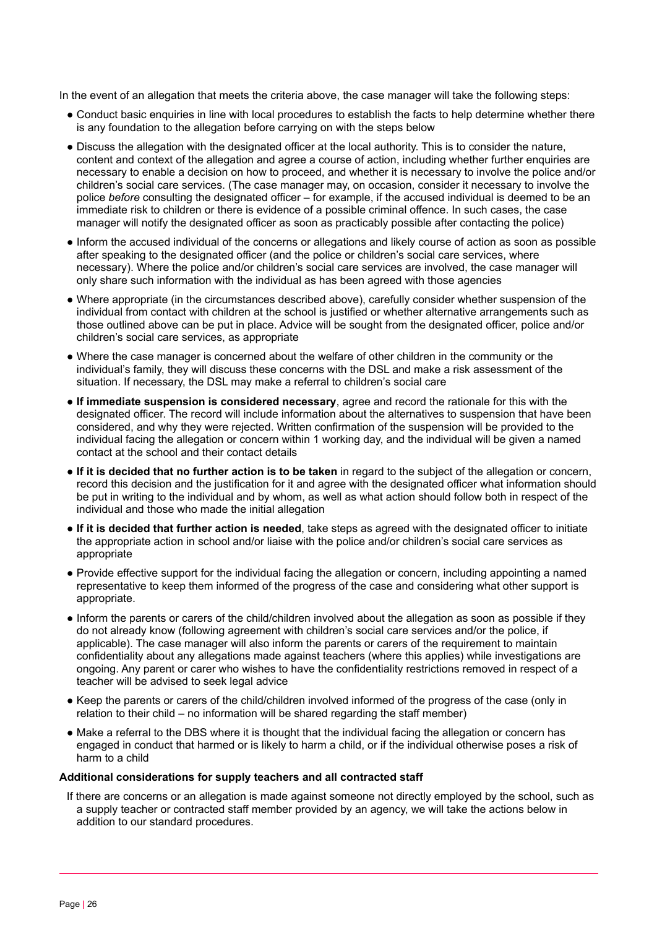In the event of an allegation that meets the criteria above, the case manager will take the following steps:

- Conduct basic enquiries in line with local procedures to establish the facts to help determine whether there is any foundation to the allegation before carrying on with the steps below
- Discuss the allegation with the designated officer at the local authority. This is to consider the nature, content and context of the allegation and agree a course of action, including whether further enquiries are necessary to enable a decision on how to proceed, and whether it is necessary to involve the police and/or children's social care services. (The case manager may, on occasion, consider it necessary to involve the police *before* consulting the designated officer – for example, if the accused individual is deemed to be an immediate risk to children or there is evidence of a possible criminal offence. In such cases, the case manager will notify the designated officer as soon as practicably possible after contacting the police)
- Inform the accused individual of the concerns or allegations and likely course of action as soon as possible after speaking to the designated officer (and the police or children's social care services, where necessary). Where the police and/or children's social care services are involved, the case manager will only share such information with the individual as has been agreed with those agencies
- Where appropriate (in the circumstances described above), carefully consider whether suspension of the individual from contact with children at the school is justified or whether alternative arrangements such as those outlined above can be put in place. Advice will be sought from the designated officer, police and/or children's social care services, as appropriate
- Where the case manager is concerned about the welfare of other children in the community or the individual's family, they will discuss these concerns with the DSL and make a risk assessment of the situation. If necessary, the DSL may make a referral to children's social care
- **If immediate suspension is considered necessary**, agree and record the rationale for this with the designated officer. The record will include information about the alternatives to suspension that have been considered, and why they were rejected. Written confirmation of the suspension will be provided to the individual facing the allegation or concern within 1 working day, and the individual will be given a named contact at the school and their contact details
- **If it is decided that no further action is to be taken** in regard to the subject of the allegation or concern, record this decision and the justification for it and agree with the designated officer what information should be put in writing to the individual and by whom, as well as what action should follow both in respect of the individual and those who made the initial allegation
- **If it is decided that further action is needed**, take steps as agreed with the designated officer to initiate the appropriate action in school and/or liaise with the police and/or children's social care services as appropriate
- Provide effective support for the individual facing the allegation or concern, including appointing a named representative to keep them informed of the progress of the case and considering what other support is appropriate.
- Inform the parents or carers of the child/children involved about the allegation as soon as possible if they do not already know (following agreement with children's social care services and/or the police, if applicable). The case manager will also inform the parents or carers of the requirement to maintain confidentiality about any allegations made against teachers (where this applies) while investigations are ongoing. Any parent or carer who wishes to have the confidentiality restrictions removed in respect of a teacher will be advised to seek legal advice
- Keep the parents or carers of the child/children involved informed of the progress of the case (only in relation to their child – no information will be shared regarding the staff member)
- Make a referral to the DBS where it is thought that the individual facing the allegation or concern has engaged in conduct that harmed or is likely to harm a child, or if the individual otherwise poses a risk of harm to a child

#### **Additional considerations for supply teachers and all contracted staff**

If there are concerns or an allegation is made against someone not directly employed by the school, such as a supply teacher or contracted staff member provided by an agency, we will take the actions below in addition to our standard procedures.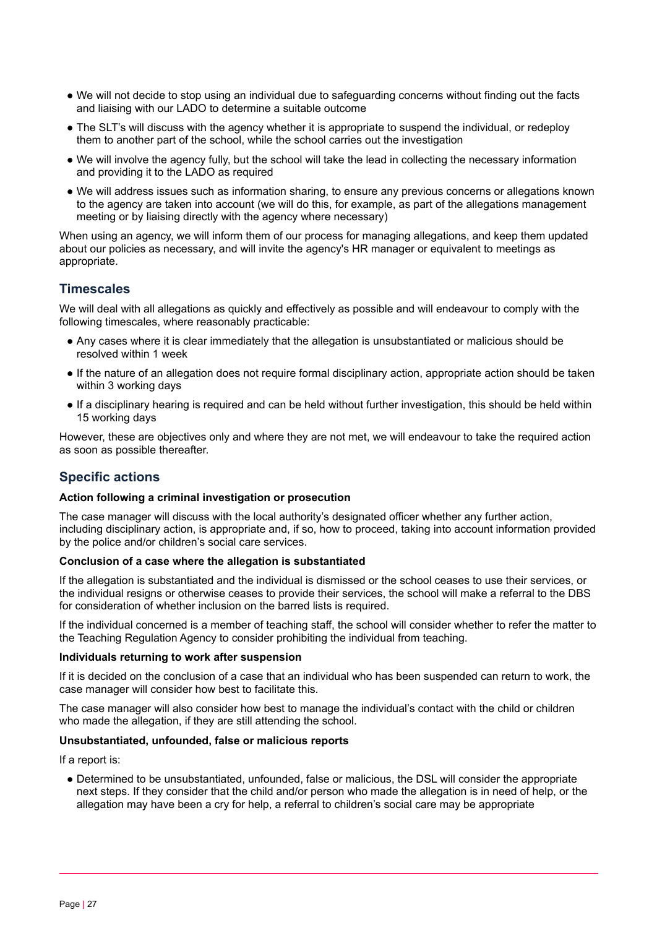- We will not decide to stop using an individual due to safeguarding concerns without finding out the facts and liaising with our LADO to determine a suitable outcome
- The SLT's will discuss with the agency whether it is appropriate to suspend the individual, or redeploy them to another part of the school, while the school carries out the investigation
- We will involve the agency fully, but the school will take the lead in collecting the necessary information and providing it to the LADO as required
- We will address issues such as information sharing, to ensure any previous concerns or allegations known to the agency are taken into account (we will do this, for example, as part of the allegations management meeting or by liaising directly with the agency where necessary)

When using an agency, we will inform them of our process for managing allegations, and keep them updated about our policies as necessary, and will invite the agency's HR manager or equivalent to meetings as appropriate.

# **Timescales**

We will deal with all allegations as quickly and effectively as possible and will endeavour to comply with the following timescales, where reasonably practicable:

- Any cases where it is clear immediately that the allegation is unsubstantiated or malicious should be resolved within 1 week
- If the nature of an allegation does not require formal disciplinary action, appropriate action should be taken within 3 working days
- If a disciplinary hearing is required and can be held without further investigation, this should be held within 15 working days

However, these are objectives only and where they are not met, we will endeavour to take the required action as soon as possible thereafter.

# **Specific actions**

#### **Action following a criminal investigation or prosecution**

The case manager will discuss with the local authority's designated officer whether any further action, including disciplinary action, is appropriate and, if so, how to proceed, taking into account information provided by the police and/or children's social care services.

#### **Conclusion of a case where the allegation is substantiated**

If the allegation is substantiated and the individual is dismissed or the school ceases to use their services, or the individual resigns or otherwise ceases to provide their services, the school will make a referral to the DBS for consideration of whether inclusion on the barred lists is required.

If the individual concerned is a member of teaching staff, the school will consider whether to refer the matter to the Teaching Regulation Agency to consider prohibiting the individual from teaching.

#### **Individuals returning to work after suspension**

If it is decided on the conclusion of a case that an individual who has been suspended can return to work, the case manager will consider how best to facilitate this.

The case manager will also consider how best to manage the individual's contact with the child or children who made the allegation, if they are still attending the school.

#### **Unsubstantiated, unfounded, false or malicious reports**

If a report is:

● Determined to be unsubstantiated, unfounded, false or malicious, the DSL will consider the appropriate next steps. If they consider that the child and/or person who made the allegation is in need of help, or the allegation may have been a cry for help, a referral to children's social care may be appropriate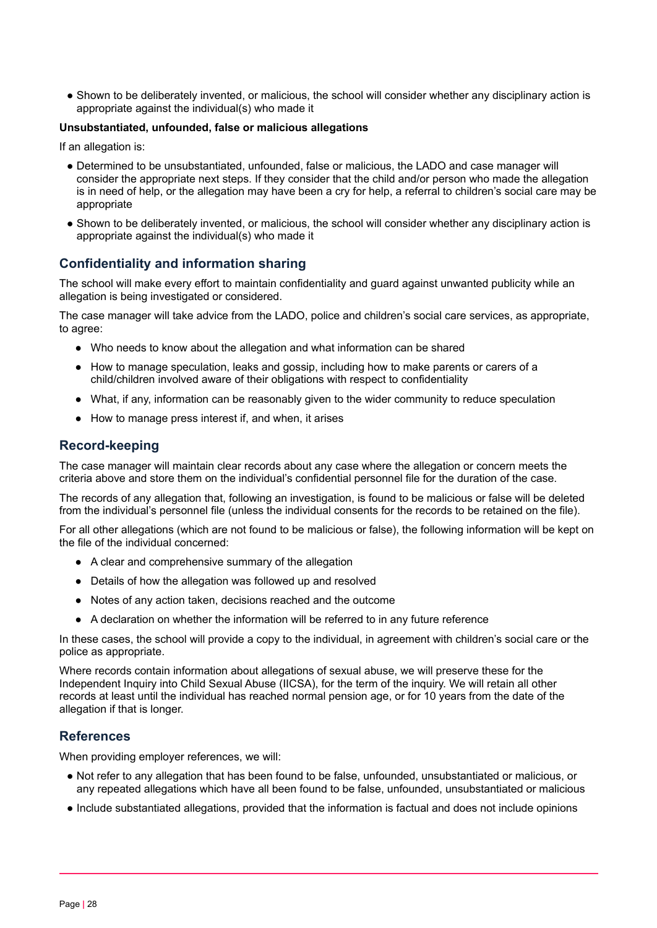● Shown to be deliberately invented, or malicious, the school will consider whether any disciplinary action is appropriate against the individual(s) who made it

#### **Unsubstantiated, unfounded, false or malicious allegations**

If an allegation is:

- Determined to be unsubstantiated, unfounded, false or malicious, the LADO and case manager will consider the appropriate next steps. If they consider that the child and/or person who made the allegation is in need of help, or the allegation may have been a cry for help, a referral to children's social care may be appropriate
- Shown to be deliberately invented, or malicious, the school will consider whether any disciplinary action is appropriate against the individual(s) who made it

# **Confidentiality and information sharing**

The school will make every effort to maintain confidentiality and guard against unwanted publicity while an allegation is being investigated or considered.

The case manager will take advice from the LADO, police and children's social care services, as appropriate, to agree:

- Who needs to know about the allegation and what information can be shared
- How to manage speculation, leaks and gossip, including how to make parents or carers of a child/children involved aware of their obligations with respect to confidentiality
- What, if any, information can be reasonably given to the wider community to reduce speculation
- How to manage press interest if, and when, it arises

#### **Record-keeping**

The case manager will maintain clear records about any case where the allegation or concern meets the criteria above and store them on the individual's confidential personnel file for the duration of the case.

The records of any allegation that, following an investigation, is found to be malicious or false will be deleted from the individual's personnel file (unless the individual consents for the records to be retained on the file).

For all other allegations (which are not found to be malicious or false), the following information will be kept on the file of the individual concerned:

- A clear and comprehensive summary of the allegation
- Details of how the allegation was followed up and resolved
- Notes of any action taken, decisions reached and the outcome
- A declaration on whether the information will be referred to in any future reference

In these cases, the school will provide a copy to the individual, in agreement with children's social care or the police as appropriate.

Where records contain information about allegations of sexual abuse, we will preserve these for the Independent Inquiry into Child Sexual Abuse (IICSA), for the term of the inquiry. We will retain all other records at least until the individual has reached normal pension age, or for 10 years from the date of the allegation if that is longer.

#### **References**

When providing employer references, we will:

- Not refer to any allegation that has been found to be false, unfounded, unsubstantiated or malicious, or any repeated allegations which have all been found to be false, unfounded, unsubstantiated or malicious
- Include substantiated allegations, provided that the information is factual and does not include opinions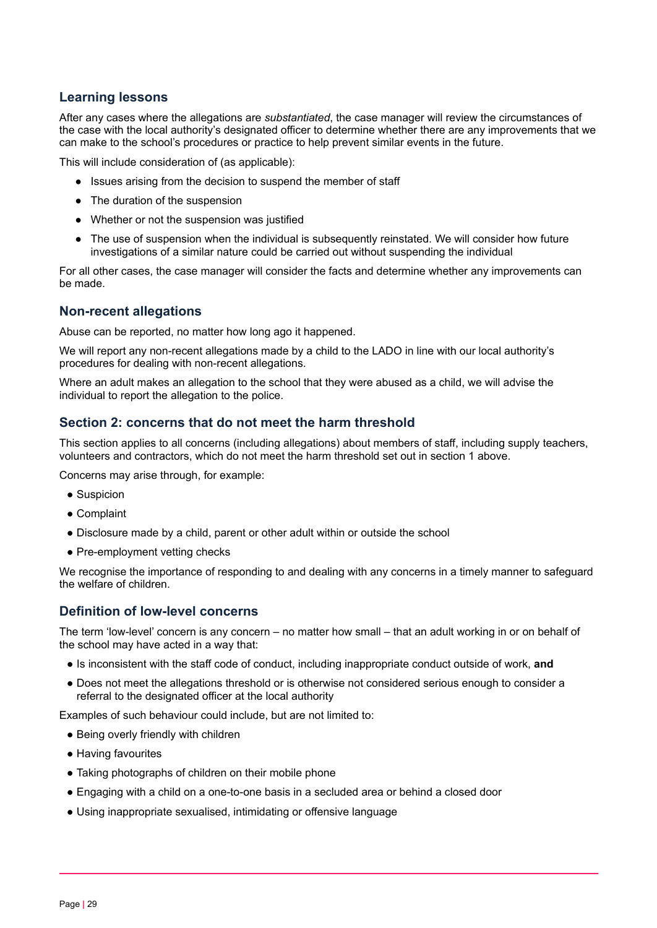# **Learning lessons**

After any cases where the allegations are *substantiated*, the case manager will review the circumstances of the case with the local authority's designated officer to determine whether there are any improvements that we can make to the school's procedures or practice to help prevent similar events in the future.

This will include consideration of (as applicable):

- Issues arising from the decision to suspend the member of staff
- The duration of the suspension
- Whether or not the suspension was justified
- The use of suspension when the individual is subsequently reinstated. We will consider how future investigations of a similar nature could be carried out without suspending the individual

For all other cases, the case manager will consider the facts and determine whether any improvements can be made.

# **Non-recent allegations**

Abuse can be reported, no matter how long ago it happened.

We will report any non-recent allegations made by a child to the LADO in line with our local authority's procedures for dealing with non-recent allegations.

Where an adult makes an allegation to the school that they were abused as a child, we will advise the individual to report the allegation to the police.

### **Section 2: concerns that do not meet the harm threshold**

This section applies to all concerns (including allegations) about members of staff, including supply teachers, volunteers and contractors, which do not meet the harm threshold set out in section 1 above.

Concerns may arise through, for example:

- Suspicion
- Complaint
- Disclosure made by a child, parent or other adult within or outside the school
- Pre-employment vetting checks

We recognise the importance of responding to and dealing with any concerns in a timely manner to safeguard the welfare of children.

# **Definition of low-level concerns**

The term 'low-level' concern is any concern – no matter how small – that an adult working in or on behalf of the school may have acted in a way that:

- Is inconsistent with the staff code of conduct, including inappropriate conduct outside of work, **and**
- Does not meet the allegations threshold or is otherwise not considered serious enough to consider a referral to the designated officer at the local authority

Examples of such behaviour could include, but are not limited to:

- Being overly friendly with children
- Having favourites
- Taking photographs of children on their mobile phone
- Engaging with a child on a one-to-one basis in a secluded area or behind a closed door
- Using inappropriate sexualised, intimidating or offensive language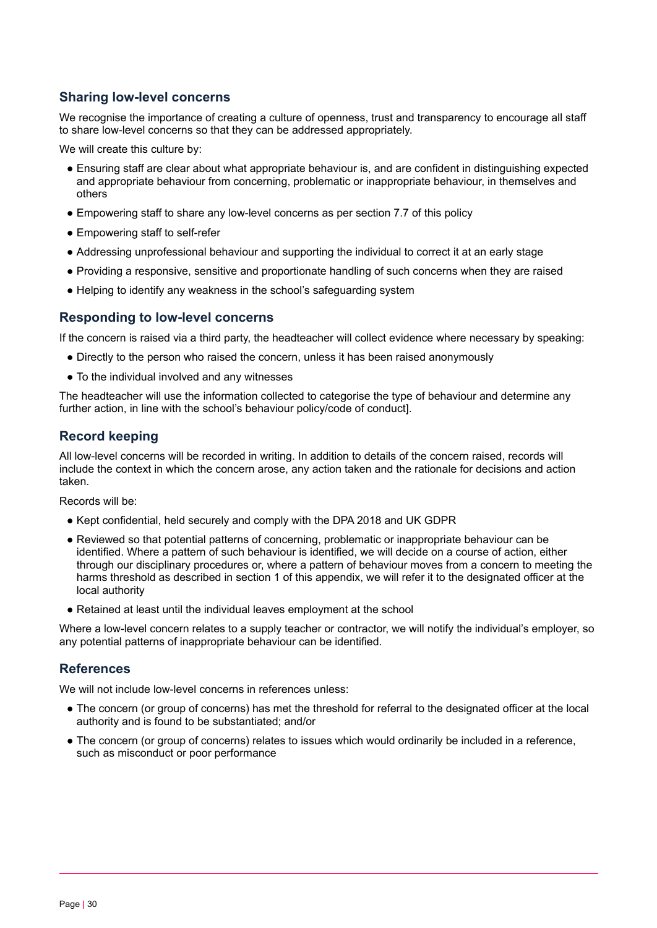# **Sharing low-level concerns**

We recognise the importance of creating a culture of openness, trust and transparency to encourage all staff to share low-level concerns so that they can be addressed appropriately.

We will create this culture by:

- Ensuring staff are clear about what appropriate behaviour is, and are confident in distinguishing expected and appropriate behaviour from concerning, problematic or inappropriate behaviour, in themselves and others
- Empowering staff to share any low-level concerns as per section 7.7 of this policy
- Empowering staff to self-refer
- Addressing unprofessional behaviour and supporting the individual to correct it at an early stage
- Providing a responsive, sensitive and proportionate handling of such concerns when they are raised
- Helping to identify any weakness in the school's safeguarding system

# **Responding to low-level concerns**

If the concern is raised via a third party, the headteacher will collect evidence where necessary by speaking:

- Directly to the person who raised the concern, unless it has been raised anonymously
- To the individual involved and any witnesses

The headteacher will use the information collected to categorise the type of behaviour and determine any further action, in line with the school's behaviour policy/code of conduct].

# **Record keeping**

All low-level concerns will be recorded in writing. In addition to details of the concern raised, records will include the context in which the concern arose, any action taken and the rationale for decisions and action taken.

Records will be:

- Kept confidential, held securely and comply with the DPA 2018 and UK GDPR
- Reviewed so that potential patterns of concerning, problematic or inappropriate behaviour can be identified. Where a pattern of such behaviour is identified, we will decide on a course of action, either through our disciplinary procedures or, where a pattern of behaviour moves from a concern to meeting the harms threshold as described in section 1 of this appendix, we will refer it to the designated officer at the local authority
- Retained at least until the individual leaves employment at the school

Where a low-level concern relates to a supply teacher or contractor, we will notify the individual's employer, so any potential patterns of inappropriate behaviour can be identified.

# **References**

We will not include low-level concerns in references unless:

- The concern (or group of concerns) has met the threshold for referral to the designated officer at the local authority and is found to be substantiated; and/or
- The concern (or group of concerns) relates to issues which would ordinarily be included in a reference, such as misconduct or poor performance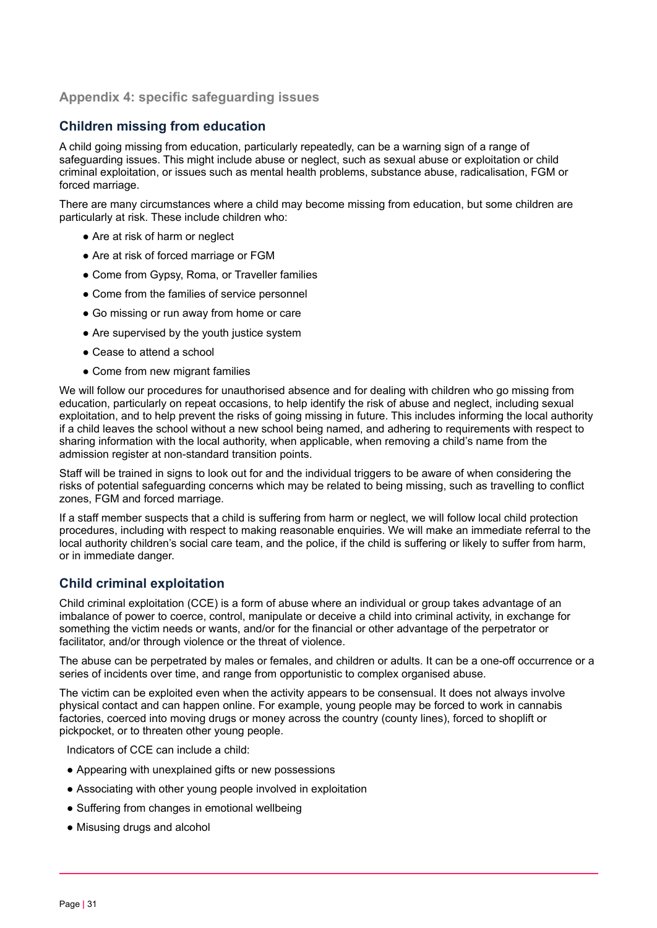# **Appendix 4: specific safeguarding issues**

# **Children missing from education**

A child going missing from education, particularly repeatedly, can be a warning sign of a range of safeguarding issues. This might include abuse or neglect, such as sexual abuse or exploitation or child criminal exploitation, or issues such as mental health problems, substance abuse, radicalisation, FGM or forced marriage.

There are many circumstances where a child may become missing from education, but some children are particularly at risk. These include children who:

- Are at risk of harm or neglect
- Are at risk of forced marriage or FGM
- Come from Gypsy, Roma, or Traveller families
- Come from the families of service personnel
- Go missing or run away from home or care
- Are supervised by the youth justice system
- Cease to attend a school
- Come from new migrant families

We will follow our procedures for unauthorised absence and for dealing with children who go missing from education, particularly on repeat occasions, to help identify the risk of abuse and neglect, including sexual exploitation, and to help prevent the risks of going missing in future. This includes informing the local authority if a child leaves the school without a new school being named, and adhering to requirements with respect to sharing information with the local authority, when applicable, when removing a child's name from the admission register at non-standard transition points.

Staff will be trained in signs to look out for and the individual triggers to be aware of when considering the risks of potential safeguarding concerns which may be related to being missing, such as travelling to conflict zones, FGM and forced marriage.

If a staff member suspects that a child is suffering from harm or neglect, we will follow local child protection procedures, including with respect to making reasonable enquiries. We will make an immediate referral to the local authority children's social care team, and the police, if the child is suffering or likely to suffer from harm, or in immediate danger.

# **Child criminal exploitation**

Child criminal exploitation (CCE) is a form of abuse where an individual or group takes advantage of an imbalance of power to coerce, control, manipulate or deceive a child into criminal activity, in exchange for something the victim needs or wants, and/or for the financial or other advantage of the perpetrator or facilitator, and/or through violence or the threat of violence.

The abuse can be perpetrated by males or females, and children or adults. It can be a one-off occurrence or a series of incidents over time, and range from opportunistic to complex organised abuse.

The victim can be exploited even when the activity appears to be consensual. It does not always involve physical contact and can happen online. For example, young people may be forced to work in cannabis factories, coerced into moving drugs or money across the country (county lines), forced to shoplift or pickpocket, or to threaten other young people.

Indicators of CCE can include a child:

- Appearing with unexplained gifts or new possessions
- Associating with other young people involved in exploitation
- Suffering from changes in emotional wellbeing
- Misusing drugs and alcohol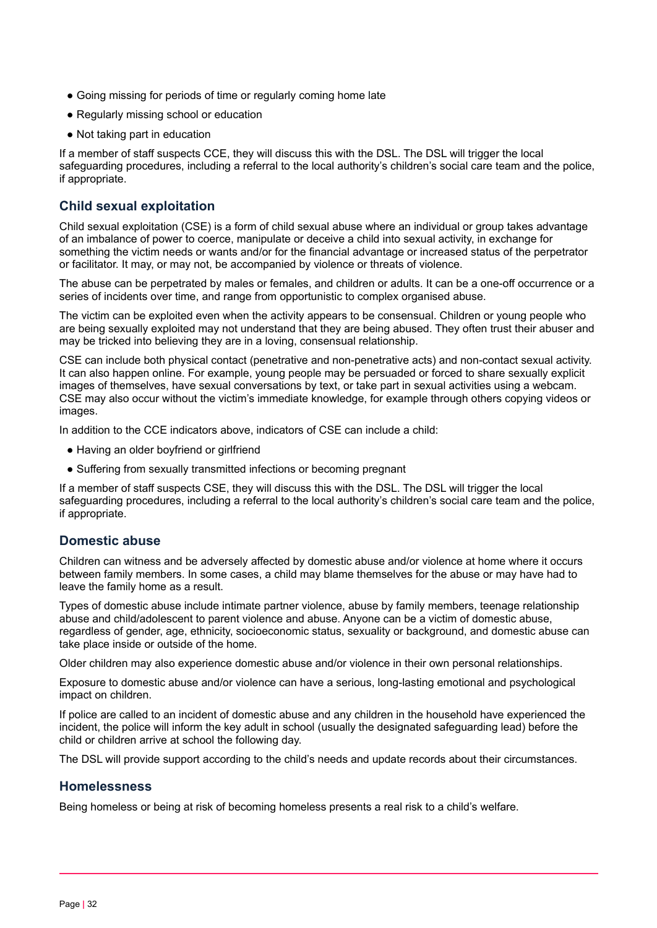- Going missing for periods of time or regularly coming home late
- Regularly missing school or education
- Not taking part in education

If a member of staff suspects CCE, they will discuss this with the DSL. The DSL will trigger the local safeguarding procedures, including a referral to the local authority's children's social care team and the police, if appropriate.

# **Child sexual exploitation**

Child sexual exploitation (CSE) is a form of child sexual abuse where an individual or group takes advantage of an imbalance of power to coerce, manipulate or deceive a child into sexual activity, in exchange for something the victim needs or wants and/or for the financial advantage or increased status of the perpetrator or facilitator. It may, or may not, be accompanied by violence or threats of violence.

The abuse can be perpetrated by males or females, and children or adults. It can be a one-off occurrence or a series of incidents over time, and range from opportunistic to complex organised abuse.

The victim can be exploited even when the activity appears to be consensual. Children or young people who are being sexually exploited may not understand that they are being abused. They often trust their abuser and may be tricked into believing they are in a loving, consensual relationship.

CSE can include both physical contact (penetrative and non-penetrative acts) and non-contact sexual activity. It can also happen online. For example, young people may be persuaded or forced to share sexually explicit images of themselves, have sexual conversations by text, or take part in sexual activities using a webcam. CSE may also occur without the victim's immediate knowledge, for example through others copying videos or images.

In addition to the CCE indicators above, indicators of CSE can include a child:

- Having an older boyfriend or girlfriend
- Suffering from sexually transmitted infections or becoming pregnant

If a member of staff suspects CSE, they will discuss this with the DSL. The DSL will trigger the local safeguarding procedures, including a referral to the local authority's children's social care team and the police, if appropriate.

#### **Domestic abuse**

Children can witness and be adversely affected by domestic abuse and/or violence at home where it occurs between family members. In some cases, a child may blame themselves for the abuse or may have had to leave the family home as a result.

Types of domestic abuse include intimate partner violence, abuse by family members, teenage relationship abuse and child/adolescent to parent violence and abuse. Anyone can be a victim of domestic abuse, regardless of gender, age, ethnicity, socioeconomic status, sexuality or background, and domestic abuse can take place inside or outside of the home.

Older children may also experience domestic abuse and/or violence in their own personal relationships.

Exposure to domestic abuse and/or violence can have a serious, long-lasting emotional and psychological impact on children.

If police are called to an incident of domestic abuse and any children in the household have experienced the incident, the police will inform the key adult in school (usually the designated safeguarding lead) before the child or children arrive at school the following day.

The DSL will provide support according to the child's needs and update records about their circumstances.

# **Homelessness**

Being homeless or being at risk of becoming homeless presents a real risk to a child's welfare.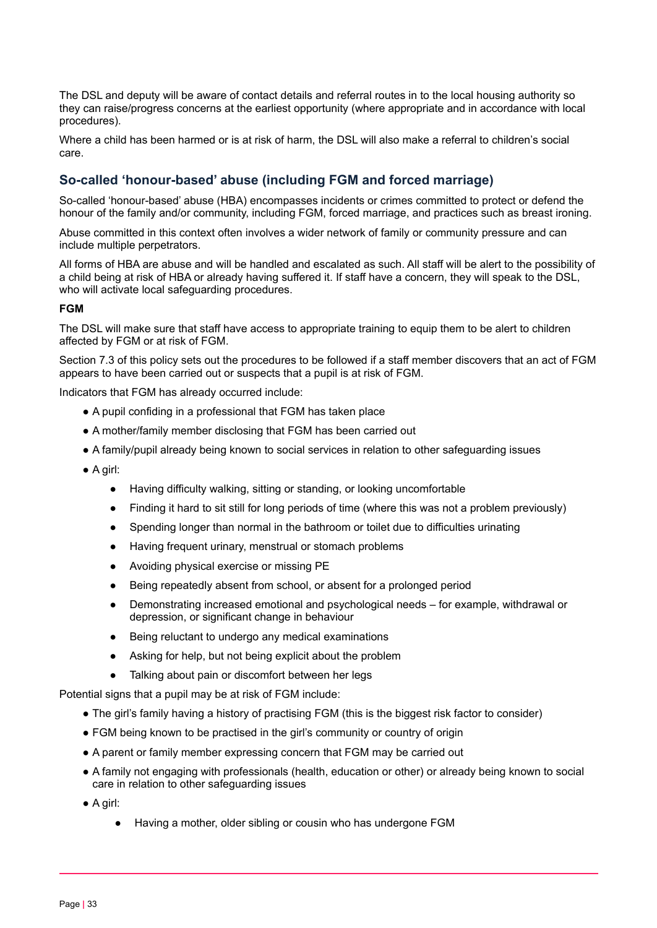The DSL and deputy will be aware of contact details and referral routes in to the local housing authority so they can raise/progress concerns at the earliest opportunity (where appropriate and in accordance with local procedures).

Where a child has been harmed or is at risk of harm, the DSL will also make a referral to children's social care.

# **So-called 'honour-based' abuse (including FGM and forced marriage)**

So-called 'honour-based' abuse (HBA) encompasses incidents or crimes committed to protect or defend the honour of the family and/or community, including FGM, forced marriage, and practices such as breast ironing.

Abuse committed in this context often involves a wider network of family or community pressure and can include multiple perpetrators.

All forms of HBA are abuse and will be handled and escalated as such. All staff will be alert to the possibility of a child being at risk of HBA or already having suffered it. If staff have a concern, they will speak to the DSL, who will activate local safeguarding procedures.

#### **FGM**

The DSL will make sure that staff have access to appropriate training to equip them to be alert to children affected by FGM or at risk of FGM.

Section 7.3 of this policy sets out the procedures to be followed if a staff member discovers that an act of FGM appears to have been carried out or suspects that a pupil is at risk of FGM.

Indicators that FGM has already occurred include:

- A pupil confiding in a professional that FGM has taken place
- A mother/family member disclosing that FGM has been carried out
- A family/pupil already being known to social services in relation to other safeguarding issues
- A girl:
	- Having difficulty walking, sitting or standing, or looking uncomfortable
	- Finding it hard to sit still for long periods of time (where this was not a problem previously)
	- Spending longer than normal in the bathroom or toilet due to difficulties urinating
	- Having frequent urinary, menstrual or stomach problems
	- Avoiding physical exercise or missing PE
	- Being repeatedly absent from school, or absent for a prolonged period
	- Demonstrating increased emotional and psychological needs for example, withdrawal or depression, or significant change in behaviour
	- Being reluctant to undergo any medical examinations
	- Asking for help, but not being explicit about the problem
	- Talking about pain or discomfort between her legs

Potential signs that a pupil may be at risk of FGM include:

- The girl's family having a history of practising FGM (this is the biggest risk factor to consider)
- FGM being known to be practised in the girl's community or country of origin
- A parent or family member expressing concern that FGM may be carried out
- A family not engaging with professionals (health, education or other) or already being known to social care in relation to other safeguarding issues
- A girl:
	- Having a mother, older sibling or cousin who has undergone FGM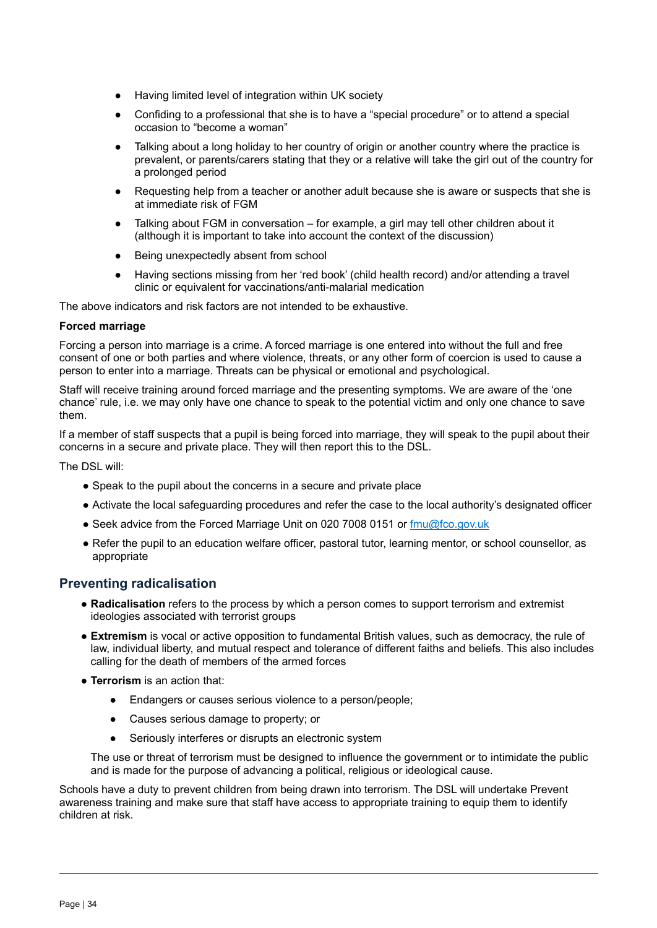- Having limited level of integration within UK society
- Confiding to a professional that she is to have a "special procedure" or to attend a special occasion to "become a woman"
- Talking about a long holiday to her country of origin or another country where the practice is prevalent, or parents/carers stating that they or a relative will take the girl out of the country for a prolonged period
- Requesting help from a teacher or another adult because she is aware or suspects that she is at immediate risk of FGM
- Talking about FGM in conversation for example, a girl may tell other children about it (although it is important to take into account the context of the discussion)
- Being unexpectedly absent from school
- Having sections missing from her 'red book' (child health record) and/or attending a travel clinic or equivalent for vaccinations/anti-malarial medication

The above indicators and risk factors are not intended to be exhaustive.

#### **Forced marriage**

Forcing a person into marriage is a crime. A forced marriage is one entered into without the full and free consent of one or both parties and where violence, threats, or any other form of coercion is used to cause a person to enter into a marriage. Threats can be physical or emotional and psychological.

Staff will receive training around forced marriage and the presenting symptoms. We are aware of the 'one chance' rule, i.e. we may only have one chance to speak to the potential victim and only one chance to save them.

If a member of staff suspects that a pupil is being forced into marriage, they will speak to the pupil about their concerns in a secure and private place. They will then report this to the DSL.

The DSL will:

- Speak to the pupil about the concerns in a secure and private place
- Activate the local safeguarding procedures and refer the case to the local authority's designated officer
- Seek advice from the Forced Marriage Unit on 020 7008 0151 or [fmu@fco.gov.uk](mailto:fmu@fco.gov.uk)
- Refer the pupil to an education welfare officer, pastoral tutor, learning mentor, or school counsellor, as appropriate

# **Preventing radicalisation**

- **Radicalisation** refers to the process by which a person comes to support terrorism and extremist ideologies associated with terrorist groups
- **Extremism** is vocal or active opposition to fundamental British values, such as democracy, the rule of law, individual liberty, and mutual respect and tolerance of different faiths and beliefs. This also includes calling for the death of members of the armed forces
- **Terrorism** is an action that:
	- Endangers or causes serious violence to a person/people;
	- Causes serious damage to property; or
	- Seriously interferes or disrupts an electronic system

The use or threat of terrorism must be designed to influence the government or to intimidate the public and is made for the purpose of advancing a political, religious or ideological cause.

Schools have a duty to prevent children from being drawn into terrorism. The DSL will undertake Prevent awareness training and make sure that staff have access to appropriate training to equip them to identify children at risk.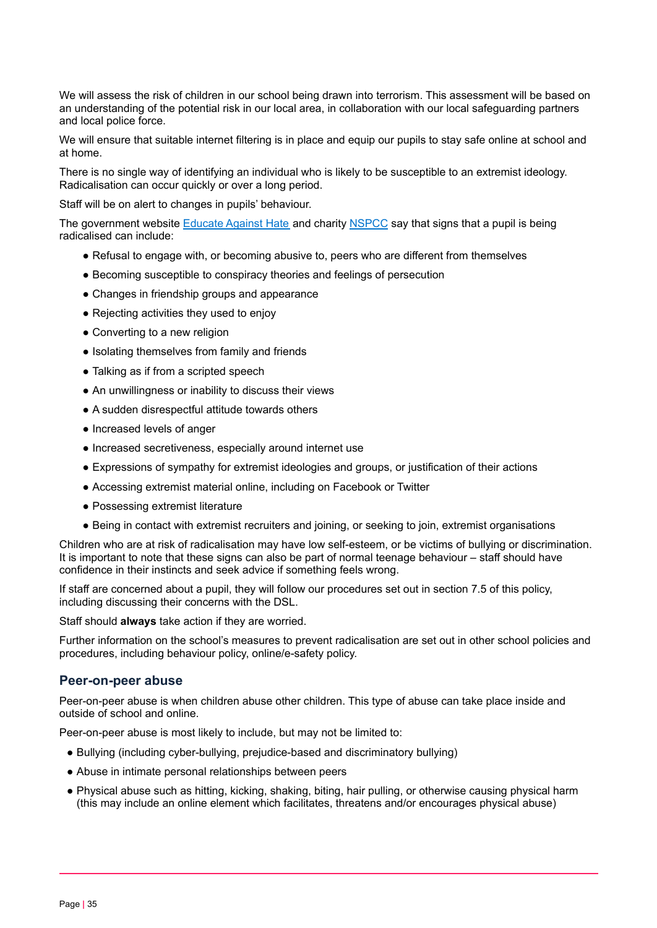We will assess the risk of children in our school being drawn into terrorism. This assessment will be based on an understanding of the potential risk in our local area, in collaboration with our local safeguarding partners and local police force.

We will ensure that suitable internet filtering is in place and equip our pupils to stay safe online at school and at home.

There is no single way of identifying an individual who is likely to be susceptible to an extremist ideology. Radicalisation can occur quickly or over a long period.

Staff will be on alert to changes in pupils' behaviour.

The government website **[Educate](http://educateagainsthate.com/parents/what-are-the-warning-signs/) Against Hate** and charity **[NSPCC](https://www.nspcc.org.uk/what-you-can-do/report-abuse/dedicated-helplines/protecting-children-from-radicalisation/)** say that signs that a pupil is being radicalised can include:

- Refusal to engage with, or becoming abusive to, peers who are different from themselves
- Becoming susceptible to conspiracy theories and feelings of persecution
- Changes in friendship groups and appearance
- Rejecting activities they used to enjoy
- Converting to a new religion
- Isolating themselves from family and friends
- Talking as if from a scripted speech
- An unwillingness or inability to discuss their views
- A sudden disrespectful attitude towards others
- Increased levels of anger
- Increased secretiveness, especially around internet use
- Expressions of sympathy for extremist ideologies and groups, or justification of their actions
- Accessing extremist material online, including on Facebook or Twitter
- Possessing extremist literature
- Being in contact with extremist recruiters and joining, or seeking to join, extremist organisations

Children who are at risk of radicalisation may have low self-esteem, or be victims of bullying or discrimination. It is important to note that these signs can also be part of normal teenage behaviour – staff should have confidence in their instincts and seek advice if something feels wrong.

If staff are concerned about a pupil, they will follow our procedures set out in section 7.5 of this policy, including discussing their concerns with the DSL.

Staff should **always** take action if they are worried.

Further information on the school's measures to prevent radicalisation are set out in other school policies and procedures, including behaviour policy, online/e-safety policy.

#### **Peer-on-peer abuse**

Peer-on-peer abuse is when children abuse other children. This type of abuse can take place inside and outside of school and online.

Peer-on-peer abuse is most likely to include, but may not be limited to:

- Bullying (including cyber-bullying, prejudice-based and discriminatory bullying)
- Abuse in intimate personal relationships between peers
- Physical abuse such as hitting, kicking, shaking, biting, hair pulling, or otherwise causing physical harm (this may include an online element which facilitates, threatens and/or encourages physical abuse)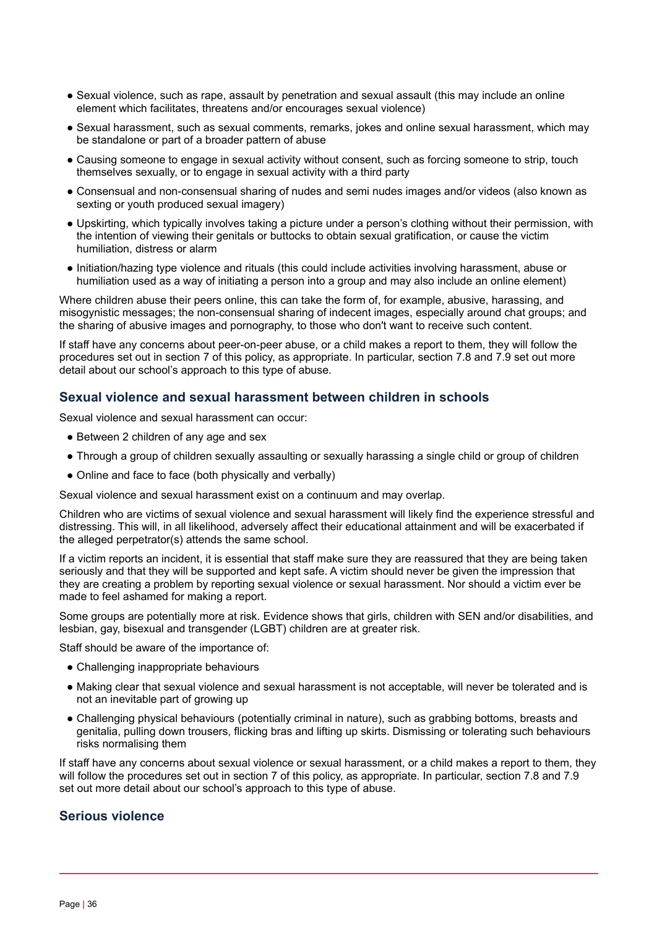- Sexual violence, such as rape, assault by penetration and sexual assault (this may include an online element which facilitates, threatens and/or encourages sexual violence)
- Sexual harassment, such as sexual comments, remarks, jokes and online sexual harassment, which may be standalone or part of a broader pattern of abuse
- Causing someone to engage in sexual activity without consent, such as forcing someone to strip, touch themselves sexually, or to engage in sexual activity with a third party
- Consensual and non-consensual sharing of nudes and semi nudes images and/or videos (also known as sexting or youth produced sexual imagery)
- Upskirting, which typically involves taking a picture under a person's clothing without their permission, with the intention of viewing their genitals or buttocks to obtain sexual gratification, or cause the victim humiliation, distress or alarm
- Initiation/hazing type violence and rituals (this could include activities involving harassment, abuse or humiliation used as a way of initiating a person into a group and may also include an online element)

Where children abuse their peers online, this can take the form of, for example, abusive, harassing, and misogynistic messages; the non-consensual sharing of indecent images, especially around chat groups; and the sharing of abusive images and pornography, to those who don't want to receive such content.

If staff have any concerns about peer-on-peer abuse, or a child makes a report to them, they will follow the procedures set out in section 7 of this policy, as appropriate. In particular, section 7.8 and 7.9 set out more detail about our school's approach to this type of abuse.

# **Sexual violence and sexual harassment between children in schools**

Sexual violence and sexual harassment can occur:

- Between 2 children of any age and sex
- Through a group of children sexually assaulting or sexually harassing a single child or group of children
- Online and face to face (both physically and verbally)

Sexual violence and sexual harassment exist on a continuum and may overlap.

Children who are victims of sexual violence and sexual harassment will likely find the experience stressful and distressing. This will, in all likelihood, adversely affect their educational attainment and will be exacerbated if the alleged perpetrator(s) attends the same school.

If a victim reports an incident, it is essential that staff make sure they are reassured that they are being taken seriously and that they will be supported and kept safe. A victim should never be given the impression that they are creating a problem by reporting sexual violence or sexual harassment. Nor should a victim ever be made to feel ashamed for making a report.

Some groups are potentially more at risk. Evidence shows that girls, children with SEN and/or disabilities, and lesbian, gay, bisexual and transgender (LGBT) children are at greater risk.

Staff should be aware of the importance of:

- Challenging inappropriate behaviours
- Making clear that sexual violence and sexual harassment is not acceptable, will never be tolerated and is not an inevitable part of growing up
- Challenging physical behaviours (potentially criminal in nature), such as grabbing bottoms, breasts and genitalia, pulling down trousers, flicking bras and lifting up skirts. Dismissing or tolerating such behaviours risks normalising them

If staff have any concerns about sexual violence or sexual harassment, or a child makes a report to them, they will follow the procedures set out in section 7 of this policy, as appropriate. In particular, section 7.8 and 7.9 set out more detail about our school's approach to this type of abuse.

### **Serious violence**